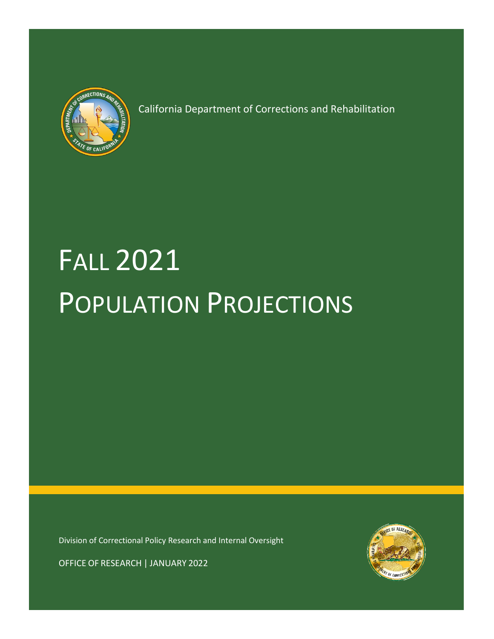

Fall 2019 Population Projections

California Department of Corrections and Rehabilitation

# FALL 2021 POPULATION PROJECTIONS

Division of Correctional Policy Research and Internal Oversight



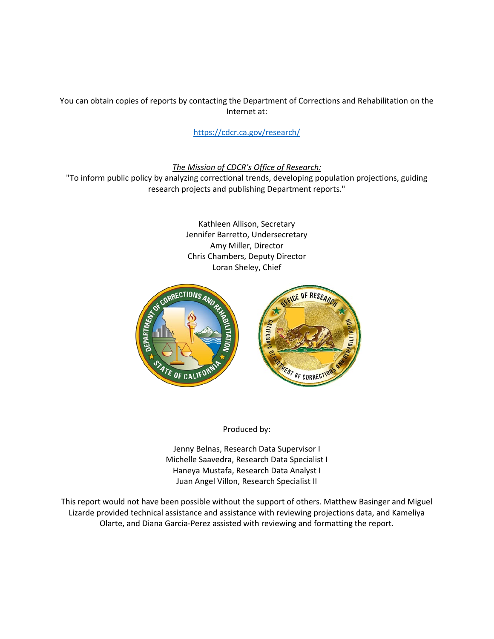You can obtain copies of reports by contacting the Department of Corrections and Rehabilitation on the Internet at:

[https://cdcr.ca.gov/research/](https://www.cdcr.ca.gov/research/)

*The Mission of CDCR's Office of Research:*

"To inform public policy by analyzing correctional trends, developing population projections, guiding research projects and publishing Department reports."

> Kathleen Allison, Secretary Jennifer Barretto, Undersecretary Amy Miller, Director Chris Chambers, Deputy Director Loran Sheley, Chief



Produced by:

Jenny Belnas, Research Data Supervisor I Michelle Saavedra, Research Data Specialist I Haneya Mustafa, Research Data Analyst I Juan Angel Villon, Research Specialist II

This report would not have been possible without the support of others. Matthew Basinger and Miguel Lizarde provided technical assistance and assistance with reviewing projections data, and Kameliya Olarte, and Diana Garcia-Perez assisted with reviewing and formatting the report.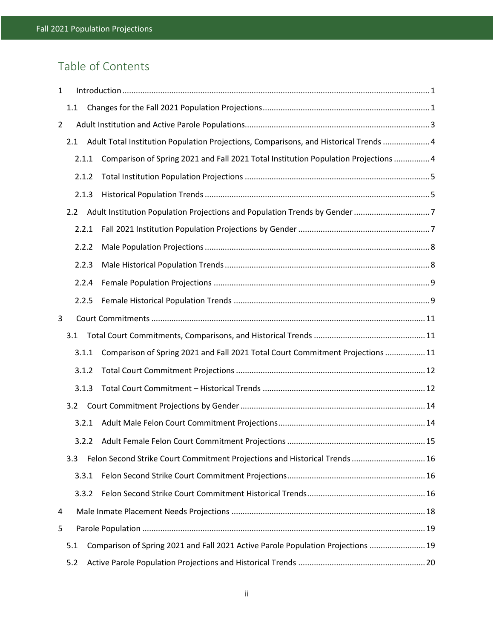# Table of Contents

| 1              |     |       |                                                                                       |  |  |  |  |  |
|----------------|-----|-------|---------------------------------------------------------------------------------------|--|--|--|--|--|
|                | 1.1 |       |                                                                                       |  |  |  |  |  |
| $\overline{2}$ |     |       |                                                                                       |  |  |  |  |  |
|                | 2.1 |       | Adult Total Institution Population Projections, Comparisons, and Historical Trends  4 |  |  |  |  |  |
|                |     | 2.1.1 | Comparison of Spring 2021 and Fall 2021 Total Institution Population Projections  4   |  |  |  |  |  |
|                |     | 2.1.2 |                                                                                       |  |  |  |  |  |
|                |     | 2.1.3 |                                                                                       |  |  |  |  |  |
|                | 2.2 |       |                                                                                       |  |  |  |  |  |
|                |     | 2.2.1 |                                                                                       |  |  |  |  |  |
|                |     | 2.2.2 |                                                                                       |  |  |  |  |  |
|                |     | 2.2.3 |                                                                                       |  |  |  |  |  |
|                |     | 2.2.4 |                                                                                       |  |  |  |  |  |
|                |     | 2.2.5 |                                                                                       |  |  |  |  |  |
| 3              |     |       |                                                                                       |  |  |  |  |  |
|                | 3.1 |       |                                                                                       |  |  |  |  |  |
|                |     | 3.1.1 | Comparison of Spring 2021 and Fall 2021 Total Court Commitment Projections  11        |  |  |  |  |  |
|                |     | 3.1.2 |                                                                                       |  |  |  |  |  |
|                |     | 3.1.3 |                                                                                       |  |  |  |  |  |
|                | 3.2 |       |                                                                                       |  |  |  |  |  |
|                |     | 3.2.1 |                                                                                       |  |  |  |  |  |
|                |     | 3.2.2 |                                                                                       |  |  |  |  |  |
|                | 3.3 |       | Felon Second Strike Court Commitment Projections and Historical Trends  16            |  |  |  |  |  |
|                |     | 3.3.1 |                                                                                       |  |  |  |  |  |
|                |     | 3.3.2 |                                                                                       |  |  |  |  |  |
| 4              |     |       |                                                                                       |  |  |  |  |  |
| 5              |     |       |                                                                                       |  |  |  |  |  |
|                | 5.1 |       | Comparison of Spring 2021 and Fall 2021 Active Parole Population Projections  19      |  |  |  |  |  |
|                | 5.2 |       |                                                                                       |  |  |  |  |  |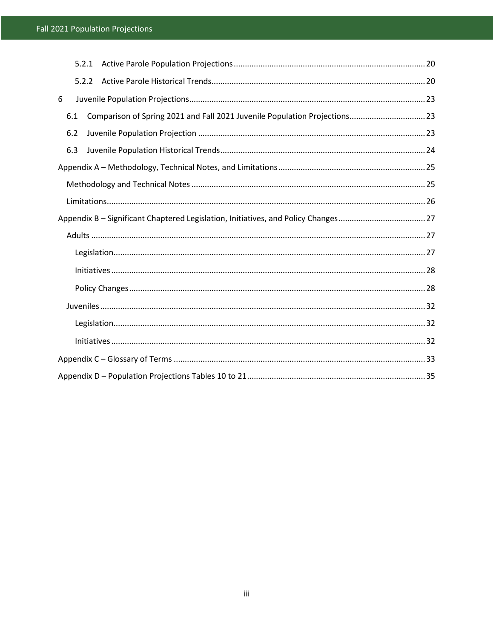|     | 5.2.1 |                                                                            |  |
|-----|-------|----------------------------------------------------------------------------|--|
|     | 5.2.2 |                                                                            |  |
| 6   |       |                                                                            |  |
| 6.1 |       | Comparison of Spring 2021 and Fall 2021 Juvenile Population Projections 23 |  |
| 6.2 |       |                                                                            |  |
| 6.3 |       |                                                                            |  |
|     |       |                                                                            |  |
|     |       |                                                                            |  |
|     |       |                                                                            |  |
|     |       |                                                                            |  |
|     |       |                                                                            |  |
|     |       |                                                                            |  |
|     |       |                                                                            |  |
|     |       |                                                                            |  |
|     |       |                                                                            |  |
|     |       |                                                                            |  |
|     |       |                                                                            |  |
|     |       |                                                                            |  |
|     |       |                                                                            |  |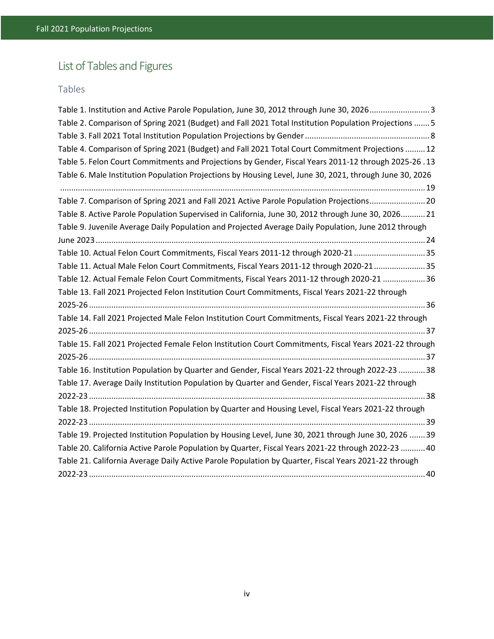# List of Tables and Figures

## Tables

| Table 1. Institution and Active Parole Population, June 30, 2012 through June 30, 20263                 |
|---------------------------------------------------------------------------------------------------------|
| Table 2. Comparison of Spring 2021 (Budget) and Fall 2021 Total Institution Population Projections  5   |
|                                                                                                         |
| Table 4. Comparison of Spring 2021 (Budget) and Fall 2021 Total Court Commitment Projections  12        |
| Table 5. Felon Court Commitments and Projections by Gender, Fiscal Years 2011-12 through 2025-26.13     |
| Table 6. Male Institution Population Projections by Housing Level, June 30, 2021, through June 30, 2026 |
|                                                                                                         |
| Table 7. Comparison of Spring 2021 and Fall 2021 Active Parole Population Projections20                 |
| Table 8. Active Parole Population Supervised in California, June 30, 2012 through June 30, 2026 21      |
| Table 9. Juvenile Average Daily Population and Projected Average Daily Population, June 2012 through    |
|                                                                                                         |
| Table 10. Actual Felon Court Commitments, Fiscal Years 2011-12 through 2020-21 35                       |
| Table 11. Actual Male Felon Court Commitments, Fiscal Years 2011-12 through 2020-2135                   |
| Table 12. Actual Female Felon Court Commitments, Fiscal Years 2011-12 through 2020-21  36               |
| Table 13. Fall 2021 Projected Felon Institution Court Commitments, Fiscal Years 2021-22 through         |
|                                                                                                         |
| Table 14. Fall 2021 Projected Male Felon Institution Court Commitments, Fiscal Years 2021-22 through    |
|                                                                                                         |
| Table 15. Fall 2021 Projected Female Felon Institution Court Commitments, Fiscal Years 2021-22 through  |
|                                                                                                         |
| Table 16. Institution Population by Quarter and Gender, Fiscal Years 2021-22 through 2022-23 38         |
| Table 17. Average Daily Institution Population by Quarter and Gender, Fiscal Years 2021-22 through      |
|                                                                                                         |
| Table 18. Projected Institution Population by Quarter and Housing Level, Fiscal Years 2021-22 through   |
|                                                                                                         |
| Table 19. Projected Institution Population by Housing Level, June 30, 2021 through June 30, 2026  39    |
| Table 20. California Active Parole Population by Quarter, Fiscal Years 2021-22 through 2022-23  40      |
| Table 21. California Average Daily Active Parole Population by Quarter, Fiscal Years 2021-22 through    |
|                                                                                                         |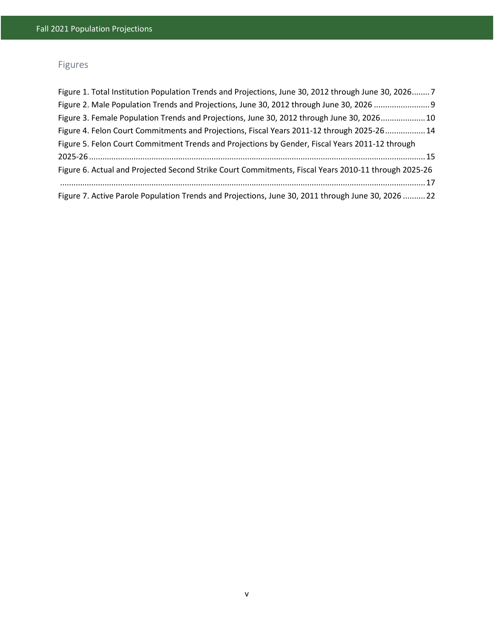# Figures

| Figure 1. Total Institution Population Trends and Projections, June 30, 2012 through June 30, 2026 7 |  |
|------------------------------------------------------------------------------------------------------|--|
| Figure 2. Male Population Trends and Projections, June 30, 2012 through June 30, 2026                |  |
| Figure 3. Female Population Trends and Projections, June 30, 2012 through June 30, 2026 10           |  |
| Figure 4. Felon Court Commitments and Projections, Fiscal Years 2011-12 through 2025-26 14           |  |
| Figure 5. Felon Court Commitment Trends and Projections by Gender, Fiscal Years 2011-12 through      |  |
|                                                                                                      |  |
| Figure 6. Actual and Projected Second Strike Court Commitments, Fiscal Years 2010-11 through 2025-26 |  |
|                                                                                                      |  |
| Figure 7. Active Parole Population Trends and Projections, June 30, 2011 through June 30, 2026  22   |  |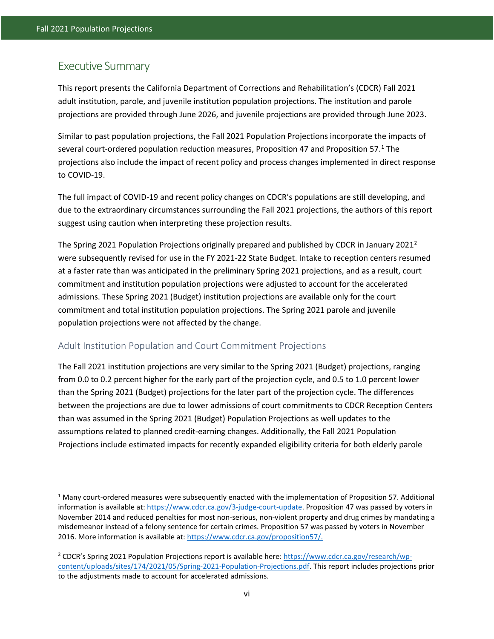$\overline{\phantom{a}}$ 

## Executive Summary

This report presents the California Department of Corrections and Rehabilitation's (CDCR) Fall 2021 adult institution, parole, and juvenile institution population projections. The institution and parole projections are provided through June 2026, and juvenile projections are provided through June 2023.

Similar to past population projections, the Fall 2021 Population Projections incorporate the impacts of several court-ordered population reduction measures, Proposition 47 and Proposition 57.<sup>[1](#page-6-0)</sup> The projections also include the impact of recent policy and process changes implemented in direct response to COVID-19.

The full impact of COVID-19 and recent policy changes on CDCR's populations are still developing, and due to the extraordinary circumstances surrounding the Fall 2021 projections, the authors of this report suggest using caution when interpreting these projection results.

The Spring [2](#page-6-1)021 Population Projections originally prepared and published by CDCR in January 2021<sup>2</sup> were subsequently revised for use in the FY 2021-22 State Budget. Intake to reception centers resumed at a faster rate than was anticipated in the preliminary Spring 2021 projections, and as a result, court commitment and institution population projections were adjusted to account for the accelerated admissions. These Spring 2021 (Budget) institution projections are available only for the court commitment and total institution population projections. The Spring 2021 parole and juvenile population projections were not affected by the change.

#### Adult Institution Population and Court Commitment Projections

The Fall 2021 institution projections are very similar to the Spring 2021 (Budget) projections, ranging from 0.0 to 0.2 percent higher for the early part of the projection cycle, and 0.5 to 1.0 percent lower than the Spring 2021 (Budget) projections for the later part of the projection cycle. The differences between the projections are due to lower admissions of court commitments to CDCR Reception Centers than was assumed in the Spring 2021 (Budget) Population Projections as well updates to the assumptions related to planned credit-earning changes. Additionally, the Fall 2021 Population Projections include estimated impacts for recently expanded eligibility criteria for both elderly parole

<span id="page-6-0"></span><sup>1</sup> Many court-ordered measures were subsequently enacted with the implementation of Proposition 57. Additional information is available at[: https://www.cdcr.ca.gov/3-judge-court-update.](https://www.cdcr.ca.gov/3-judge-court-update/) Proposition 47 was passed by voters in November 2014 and reduced penalties for most non-serious, non-violent property and drug crimes by mandating a misdemeanor instead of a felony sentence for certain crimes. Proposition 57 was passed by voters in November 2016. More information is available at: [https://www.cdcr.ca.gov/proposition57/.](https://www.cdcr.ca.gov/proposition57/)

<span id="page-6-1"></span><sup>&</sup>lt;sup>2</sup> CDCR's Spring 2021 Population Projections report is available here[: https://www.cdcr.ca.gov/research/wp](https://www.cdcr.ca.gov/research/wp-content/uploads/sites/174/2021/05/Spring-2021-Population-Projections.pdf)[content/uploads/sites/174/2021/05/Spring-2021-Population-Projections.pdf.](https://www.cdcr.ca.gov/research/wp-content/uploads/sites/174/2021/05/Spring-2021-Population-Projections.pdf) This report includes projections prior to the adjustments made to account for accelerated admissions.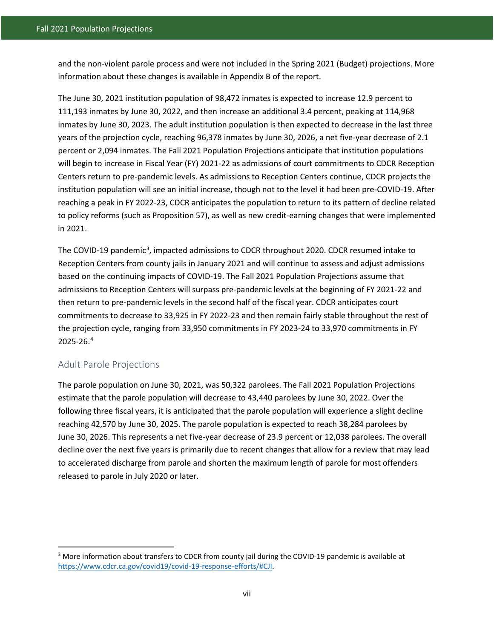and the non-violent parole process and were not included in the Spring 2021 (Budget) projections. More information about these changes is available in Appendix B of the report.

The June 30, 2021 institution population of 98,472 inmates is expected to increase 12.9 percent to 111,193 inmates by June 30, 2022, and then increase an additional 3.4 percent, peaking at 114,968 inmates by June 30, 2023. The adult institution population is then expected to decrease in the last three years of the projection cycle, reaching 96,378 inmates by June 30, 2026, a net five-year decrease of 2.1 percent or 2,094 inmates. The Fall 2021 Population Projections anticipate that institution populations will begin to increase in Fiscal Year (FY) 2021-22 as admissions of court commitments to CDCR Reception Centers return to pre-pandemic levels. As admissions to Reception Centers continue, CDCR projects the institution population will see an initial increase, though not to the level it had been pre-COVID-19. After reaching a peak in FY 2022-23, CDCR anticipates the population to return to its pattern of decline related to policy reforms (such as Proposition 57), as well as new credit-earning changes that were implemented in 2021.

The COVID-19 pandemic<sup>[3](#page-7-0)</sup>, impacted admissions to CDCR throughout 2020. CDCR resumed intake to Reception Centers from county jails in January 2021 and will continue to assess and adjust admissions based on the continuing impacts of COVID-19. The Fall 2021 Population Projections assume that admissions to Reception Centers will surpass pre-pandemic levels at the beginning of FY 2021-22 and then return to pre-pandemic levels in the second half of the fiscal year. CDCR anticipates court commitments to decrease to 33,925 in FY 2022-23 and then remain fairly stable throughout the rest of the projection cycle, ranging from 33,950 commitments in FY 2023-24 to 33,970 commitments in FY 2025-26. [4](#page-7-1)

#### Adult Parole Projections

l

The parole population on June 30, 2021, was 50,322 parolees. The Fall 2021 Population Projections estimate that the parole population will decrease to 43,440 parolees by June 30, 2022. Over the following three fiscal years, it is anticipated that the parole population will experience a slight decline reaching 42,570 by June 30, 2025. The parole population is expected to reach 38,284 parolees by June 30, 2026. This represents a net five-year decrease of 23.9 percent or 12,038 parolees. The overall decline over the next five years is primarily due to recent changes that allow for a review that may lead to accelerated discharge from parole and shorten the maximum length of parole for most offenders released to parole in July 2020 or later.

<span id="page-7-1"></span><span id="page-7-0"></span><sup>&</sup>lt;sup>3</sup> More information about transfers to CDCR from county jail during the COVID-19 pandemic is available at [https://www.cdcr.ca.gov/covid19/covid-19-response-efforts/#CJI.](https://www.cdcr.ca.gov/covid19/covid-19-response-efforts/#CJI)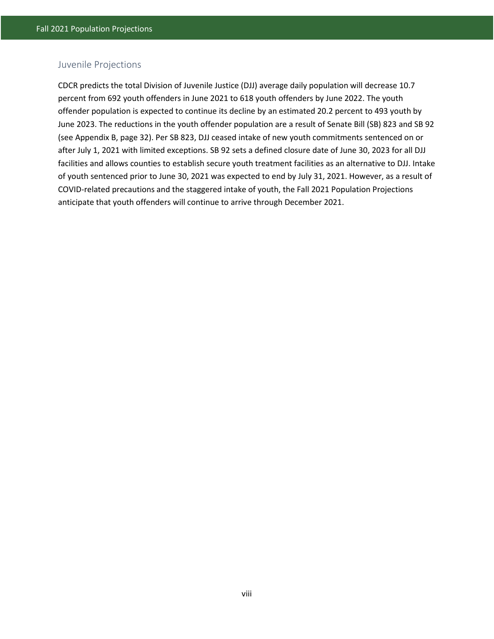#### Juvenile Projections

CDCR predicts the total Division of Juvenile Justice (DJJ) average daily population will decrease 10.7 percent from 692 youth offenders in June 2021 to 618 youth offenders by June 2022. The youth offender population is expected to continue its decline by an estimated 20.2 percent to 493 youth by June 2023. The reductions in the youth offender population are a result of Senate Bill (SB) 823 and SB 92 (see Appendix B, page 32). Per SB 823, DJJ ceased intake of new youth commitments sentenced on or after July 1, 2021 with limited exceptions. SB 92 sets a defined closure date of June 30, 2023 for all DJJ facilities and allows counties to establish secure youth treatment facilities as an alternative to DJJ. Intake of youth sentenced prior to June 30, 2021 was expected to end by July 31, 2021. However, as a result of COVID-related precautions and the staggered intake of youth, the Fall 2021 Population Projections anticipate that youth offenders will continue to arrive through December 2021.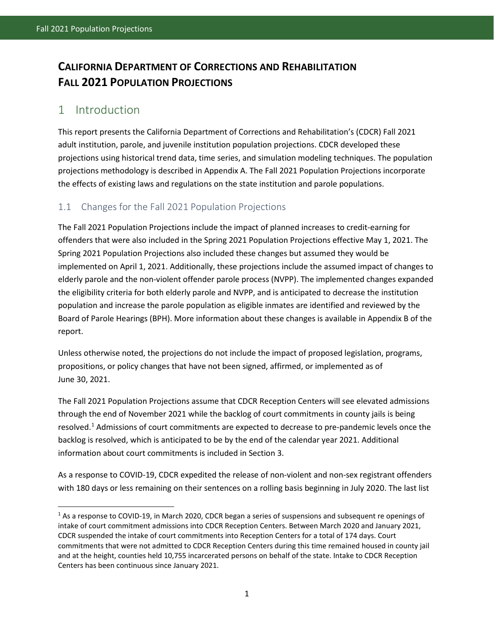# **CALIFORNIA DEPARTMENT OF CORRECTIONS AND REHABILITATION FALL 2021 POPULATION PROJECTIONS**

## <span id="page-9-0"></span>1 Introduction

 $\overline{a}$ 

This report presents the California Department of Corrections and Rehabilitation's (CDCR) Fall 2021 adult institution, parole, and juvenile institution population projections. CDCR developed these projections using historical trend data, time series, and simulation modeling techniques. The population projections methodology is described in Appendix A. The Fall 2021 Population Projections incorporate the effects of existing laws and regulations on the state institution and parole populations.

## <span id="page-9-1"></span>1.1 Changes for the Fall 2021 Population Projections

The Fall 2021 Population Projections include the impact of planned increases to credit-earning for offenders that were also included in the Spring 2021 Population Projections effective May 1, 2021. The Spring 2021 Population Projections also included these changes but assumed they would be implemented on April 1, 2021. Additionally, these projections include the assumed impact of changes to elderly parole and the non-violent offender parole process (NVPP). The implemented changes expanded the eligibility criteria for both elderly parole and NVPP, and is anticipated to decrease the institution population and increase the parole population as eligible inmates are identified and reviewed by the Board of Parole Hearings (BPH). More information about these changes is available in Appendix B of the report.

Unless otherwise noted, the projections do not include the impact of proposed legislation, programs, propositions, or policy changes that have not been signed, affirmed, or implemented as of June 30, 2021.

The Fall 2021 Population Projections assume that CDCR Reception Centers will see elevated admissions through the end of November 2021 while the backlog of court commitments in county jails is being resolved.<sup>1</sup> Admissions of court commitments are expected to decrease to pre-pandemic levels once the backlog is resolved, which is anticipated to be by the end of the calendar year 2021. Additional information about court commitments is included in Section 3.

As a response to COVID-19, CDCR expedited the release of non-violent and non-sex registrant offenders with 180 days or less remaining on their sentences on a rolling basis beginning in July 2020. The last list

<span id="page-9-2"></span> $1$  As a response to COVID-19, in March 2020, CDCR began a series of suspensions and subsequent re openings of intake of court commitment admissions into CDCR Reception Centers. Between March 2020 and January 2021, CDCR suspended the intake of court commitments into Reception Centers for a total of 174 days. Court commitments that were not admitted to CDCR Reception Centers during this time remained housed in county jail and at the height, counties held 10,755 incarcerated persons on behalf of the state. Intake to CDCR Reception Centers has been continuous since January 2021.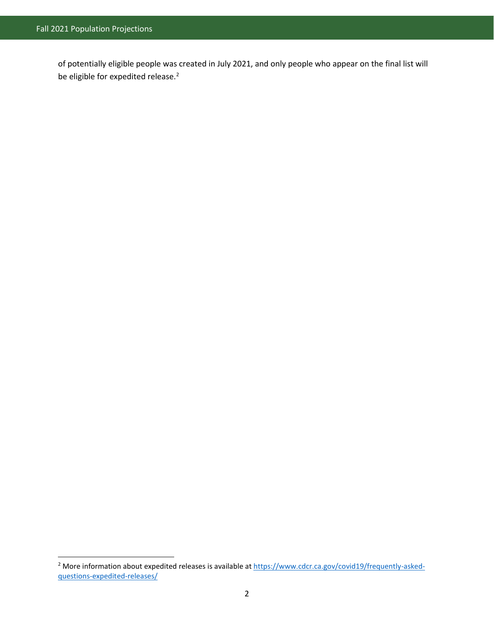$\overline{a}$ 

of potentially eligible people was created in July 2021, and only people who appear on the final list will be eligible for expedited release.<sup>[2](#page-10-0)</sup>

<span id="page-10-0"></span><sup>&</sup>lt;sup>2</sup> More information about expedited releases is available a[t https://www.cdcr.ca.gov/covid19/frequently-asked](https://www.cdcr.ca.gov/covid19/frequently-asked-questions-expedited-releases/)[questions-expedited-releases/](https://www.cdcr.ca.gov/covid19/frequently-asked-questions-expedited-releases/)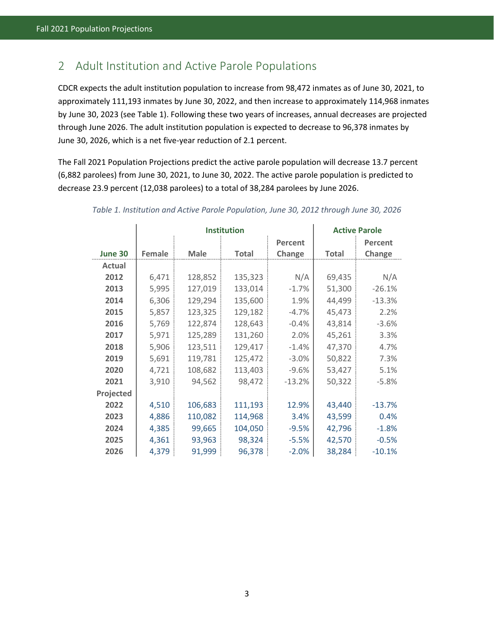# <span id="page-11-0"></span>2 Adult Institution and Active Parole Populations

CDCR expects the adult institution population to increase from 98,472 inmates as of June 30, 2021, to approximately 111,193 inmates by June 30, 2022, and then increase to approximately 114,968 inmates by June 30, 2023 (see Table 1). Following these two years of increases, annual decreases are projected through June 2026. The adult institution population is expected to decrease to 96,378 inmates by June 30, 2026, which is a net five-year reduction of 2.1 percent.

The Fall 2021 Population Projections predict the active parole population will decrease 13.7 percent (6,882 parolees) from June 30, 2021, to June 30, 2022. The active parole population is predicted to decrease 23.9 percent (12,038 parolees) to a total of 38,284 parolees by June 2026.

|               |        | <b>Institution</b> |              |                | <b>Active Parole</b> |          |
|---------------|--------|--------------------|--------------|----------------|----------------------|----------|
|               |        |                    |              | <b>Percent</b> |                      | Percent  |
| June 30       | Female | <b>Male</b>        | <b>Total</b> | Change         | <b>Total</b>         | Change   |
| <b>Actual</b> |        |                    |              |                |                      |          |
| 2012          | 6,471  | 128,852            | 135,323      | N/A            | 69,435               | N/A      |
| 2013          | 5,995  | 127,019            | 133,014      | $-1.7%$        | 51,300               | $-26.1%$ |
| 2014          | 6,306  | 129,294            | 135,600      | 1.9%           | 44,499               | $-13.3%$ |
| 2015          | 5,857  | 123,325            | 129,182      | $-4.7%$        | 45,473               | 2.2%     |
| 2016          | 5,769  | 122,874            | 128,643      | $-0.4%$        | 43,814               | $-3.6%$  |
| 2017          | 5,971  | 125,289            | 131,260      | 2.0%           | 45,261               | 3.3%     |
| 2018          | 5,906  | 123,511            | 129,417      | $-1.4%$        | 47,370               | 4.7%     |
| 2019          | 5,691  | 119,781            | 125,472      | $-3.0%$        | 50,822               | 7.3%     |
| 2020          | 4,721  | 108,682            | 113,403      | $-9.6%$        | 53,427               | 5.1%     |
| 2021          | 3,910  | 94,562             | 98,472       | $-13.2%$       | 50,322               | $-5.8%$  |
| Projected     |        |                    |              |                |                      |          |
| 2022          | 4,510  | 106,683            | 111,193      | 12.9%          | 43,440               | $-13.7%$ |
| 2023          | 4,886  | 110,082            | 114,968      | 3.4%           | 43,599               | 0.4%     |
| 2024          | 4,385  | 99,665             | 104,050      | $-9.5%$        | 42,796               | $-1.8%$  |
| 2025          | 4,361  | 93,963             | 98,324       | $-5.5%$        | 42,570               | $-0.5%$  |
| 2026          | 4,379  | 91,999             | 96,378       | $-2.0%$        | 38,284               | $-10.1%$ |

#### <span id="page-11-1"></span>*Table 1. Institution and Active Parole Population, June 30, 2012 through June 30, 2026*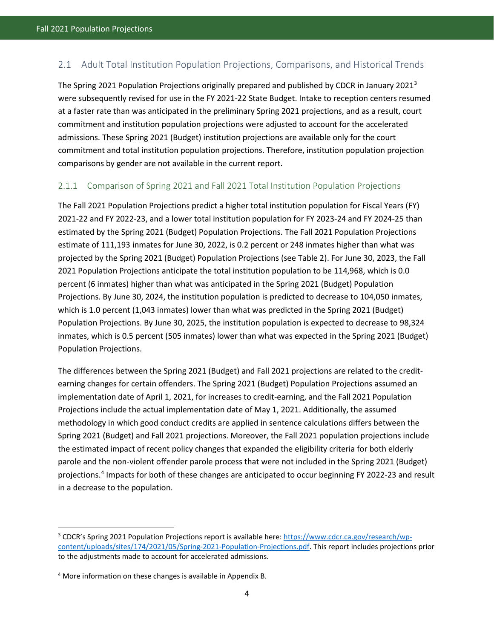## <span id="page-12-0"></span>2.1 Adult Total Institution Population Projections, Comparisons, and Historical Trends

The Spring 2021 Population Projections originally prepared and published by CDCR in January 2021<sup>[3](#page-12-2)</sup> were subsequently revised for use in the FY 2021-22 State Budget. Intake to reception centers resumed at a faster rate than was anticipated in the preliminary Spring 2021 projections, and as a result, court commitment and institution population projections were adjusted to account for the accelerated admissions. These Spring 2021 (Budget) institution projections are available only for the court commitment and total institution population projections. Therefore, institution population projection comparisons by gender are not available in the current report.

#### <span id="page-12-1"></span>2.1.1 Comparison of Spring 2021 and Fall 2021 Total Institution Population Projections

The Fall 2021 Population Projections predict a higher total institution population for Fiscal Years (FY) 2021-22 and FY 2022-23, and a lower total institution population for FY 2023-24 and FY 2024-25 than estimated by the Spring 2021 (Budget) Population Projections. The Fall 2021 Population Projections estimate of 111,193 inmates for June 30, 2022, is 0.2 percent or 248 inmates higher than what was projected by the Spring 2021 (Budget) Population Projections (see Table 2). For June 30, 2023, the Fall 2021 Population Projections anticipate the total institution population to be 114,968, which is 0.0 percent (6 inmates) higher than what was anticipated in the Spring 2021 (Budget) Population Projections. By June 30, 2024, the institution population is predicted to decrease to 104,050 inmates, which is 1.0 percent (1,043 inmates) lower than what was predicted in the Spring 2021 (Budget) Population Projections. By June 30, 2025, the institution population is expected to decrease to 98,324 inmates, which is 0.5 percent (505 inmates) lower than what was expected in the Spring 2021 (Budget) Population Projections.

The differences between the Spring 2021 (Budget) and Fall 2021 projections are related to the creditearning changes for certain offenders. The Spring 2021 (Budget) Population Projections assumed an implementation date of April 1, 2021, for increases to credit-earning, and the Fall 2021 Population Projections include the actual implementation date of May 1, 2021. Additionally, the assumed methodology in which good conduct credits are applied in sentence calculations differs between the Spring 2021 (Budget) and Fall 2021 projections. Moreover, the Fall 2021 population projections include the estimated impact of recent policy changes that expanded the eligibility criteria for both elderly parole and the non-violent offender parole process that were not included in the Spring 2021 (Budget) projections.[4](#page-12-3) Impacts for both of these changes are anticipated to occur beginning FY 2022-23 and result in a decrease to the population.

 $\overline{a}$ 

<span id="page-12-2"></span><sup>&</sup>lt;sup>3</sup> CDCR's Spring 2021 Population Projections report is available here[: https://www.cdcr.ca.gov/research/wp](https://www.cdcr.ca.gov/research/wp-content/uploads/sites/174/2021/05/Spring-2021-Population-Projections.pdf)[content/uploads/sites/174/2021/05/Spring-2021-Population-Projections.pdf.](https://www.cdcr.ca.gov/research/wp-content/uploads/sites/174/2021/05/Spring-2021-Population-Projections.pdf) This report includes projections prior to the adjustments made to account for accelerated admissions.

<span id="page-12-3"></span><sup>4</sup> More information on these changes is available in Appendix B.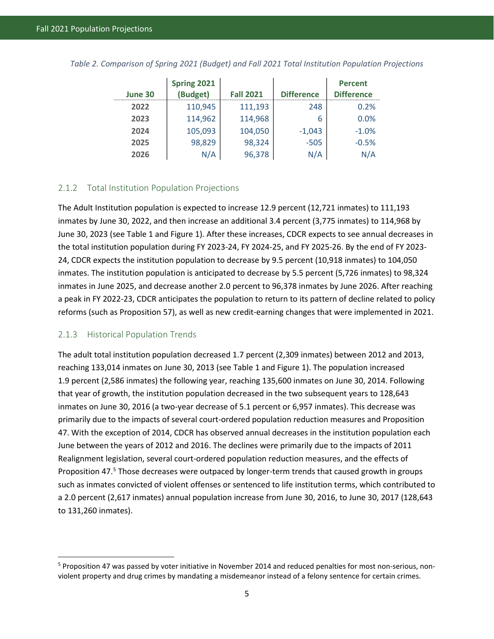|         | Spring 2021 |                  |                   | <b>Percent</b>    |
|---------|-------------|------------------|-------------------|-------------------|
| June 30 | (Budget)    | <b>Fall 2021</b> | <b>Difference</b> | <b>Difference</b> |
| 2022    | 110,945     | 111,193          | 248               | 0.2%              |
| 2023    | 114,962     | 114,968          | 6                 | 0.0%              |
| 2024    | 105,093     | 104,050          | $-1,043$          | $-1.0%$           |
| 2025    | 98,829      | 98,324           | $-505$            | $-0.5%$           |
| 2026    | N/A         | 96,378           | N/A               | N/A               |

<span id="page-13-2"></span>*Table 2. Comparison of Spring 2021 (Budget) and Fall 2021 Total Institution Population Projections*

#### <span id="page-13-0"></span>2.1.2 Total Institution Population Projections

The Adult Institution population is expected to increase 12.9 percent (12,721 inmates) to 111,193 inmates by June 30, 2022, and then increase an additional 3.4 percent (3,775 inmates) to 114,968 by June 30, 2023 (see Table 1 and Figure 1). After these increases, CDCR expects to see annual decreases in the total institution population during FY 2023-24, FY 2024-25, and FY 2025-26. By the end of FY 2023- 24, CDCR expects the institution population to decrease by 9.5 percent (10,918 inmates) to 104,050 inmates. The institution population is anticipated to decrease by 5.5 percent (5,726 inmates) to 98,324 inmates in June 2025, and decrease another 2.0 percent to 96,378 inmates by June 2026. After reaching a peak in FY 2022-23, CDCR anticipates the population to return to its pattern of decline related to policy reforms (such as Proposition 57), as well as new credit-earning changes that were implemented in 2021.

#### <span id="page-13-1"></span>2.1.3 Historical Population Trends

 $\overline{a}$ 

The adult total institution population decreased 1.7 percent (2,309 inmates) between 2012 and 2013, reaching 133,014 inmates on June 30, 2013 (see Table 1 and Figure 1). The population increased 1.9 percent (2,586 inmates) the following year, reaching 135,600 inmates on June 30, 2014. Following that year of growth, the institution population decreased in the two subsequent years to 128,643 inmates on June 30, 2016 (a two-year decrease of 5.1 percent or 6,957 inmates). This decrease was primarily due to the impacts of several court-ordered population reduction measures and Proposition 47. With the exception of 2014, CDCR has observed annual decreases in the institution population each June between the years of 2012 and 2016. The declines were primarily due to the impacts of 2011 Realignment legislation, several court-ordered population reduction measures, and the effects of Proposition 47[.5](#page-13-3) Those decreases were outpaced by longer-term trends that caused growth in groups such as inmates convicted of violent offenses or sentenced to life institution terms, which contributed to a 2.0 percent (2,617 inmates) annual population increase from June 30, 2016, to June 30, 2017 (128,643 to 131,260 inmates).

<span id="page-13-3"></span><sup>&</sup>lt;sup>5</sup> Proposition 47 was passed by voter initiative in November 2014 and reduced penalties for most non-serious, nonviolent property and drug crimes by mandating a misdemeanor instead of a felony sentence for certain crimes.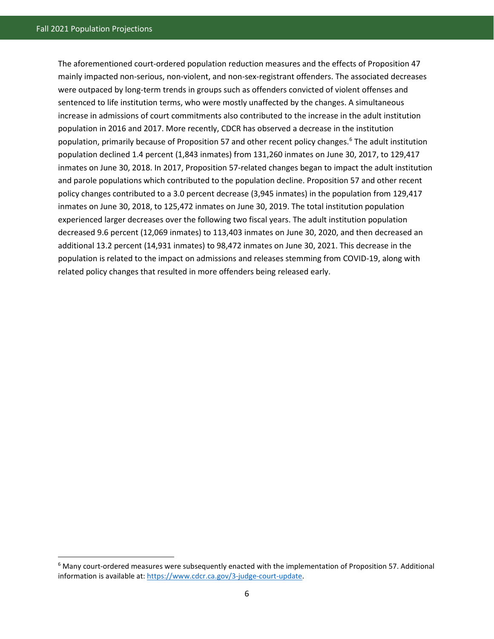$\overline{a}$ 

The aforementioned court-ordered population reduction measures and the effects of Proposition 47 mainly impacted non-serious, non-violent, and non-sex-registrant offenders. The associated decreases were outpaced by long-term trends in groups such as offenders convicted of violent offenses and sentenced to life institution terms, who were mostly unaffected by the changes. A simultaneous increase in admissions of court commitments also contributed to the increase in the adult institution population in 2016 and 2017. More recently, CDCR has observed a decrease in the institution population, primarily because of Proposition 57 and other recent policy changes.<sup>[6](#page-14-0)</sup> The adult institution population declined 1.4 percent (1,843 inmates) from 131,260 inmates on June 30, 2017, to 129,417 inmates on June 30, 2018. In 2017, Proposition 57-related changes began to impact the adult institution and parole populations which contributed to the population decline. Proposition 57 and other recent policy changes contributed to a 3.0 percent decrease (3,945 inmates) in the population from 129,417 inmates on June 30, 2018, to 125,472 inmates on June 30, 2019. The total institution population experienced larger decreases over the following two fiscal years. The adult institution population decreased 9.6 percent (12,069 inmates) to 113,403 inmates on June 30, 2020, and then decreased an additional 13.2 percent (14,931 inmates) to 98,472 inmates on June 30, 2021. This decrease in the population is related to the impact on admissions and releases stemming from COVID-19, along with related policy changes that resulted in more offenders being released early.

<span id="page-14-0"></span><sup>6</sup> Many court-ordered measures were subsequently enacted with the implementation of Proposition 57. Additional information is available at[: https://www.cdcr.ca.gov/3-judge-court-update.](https://www.cdcr.ca.gov/3-judge-court-update)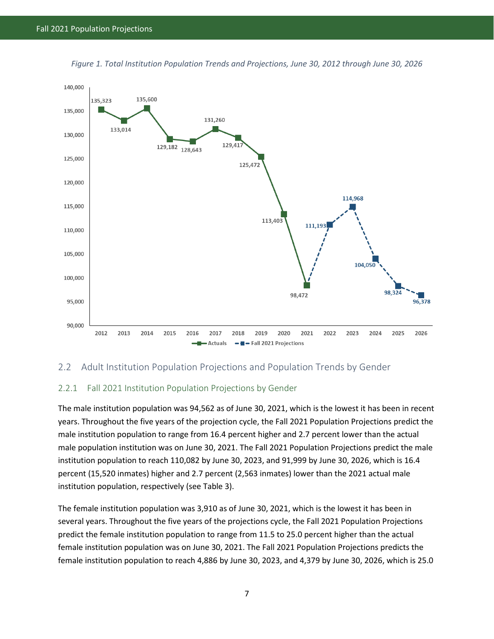

<span id="page-15-2"></span>*Figure 1. Total Institution Population Trends and Projections, June 30, 2012 through June 30, 2026* 

#### <span id="page-15-0"></span>2.2 Adult Institution Population Projections and Population Trends by Gender

#### <span id="page-15-1"></span>2.2.1 Fall 2021 Institution Population Projections by Gender

The male institution population was 94,562 as of June 30, 2021, which is the lowest it has been in recent years. Throughout the five years of the projection cycle, the Fall 2021 Population Projections predict the male institution population to range from 16.4 percent higher and 2.7 percent lower than the actual male population institution was on June 30, 2021. The Fall 2021 Population Projections predict the male institution population to reach 110,082 by June 30, 2023, and 91,999 by June 30, 2026, which is 16.4 percent (15,520 inmates) higher and 2.7 percent (2,563 inmates) lower than the 2021 actual male institution population, respectively (see Table 3).

The female institution population was 3,910 as of June 30, 2021, which is the lowest it has been in several years. Throughout the five years of the projections cycle, the Fall 2021 Population Projections predict the female institution population to range from 11.5 to 25.0 percent higher than the actual female institution population was on June 30, 2021. The Fall 2021 Population Projections predicts the female institution population to reach 4,886 by June 30, 2023, and 4,379 by June 30, 2026, which is 25.0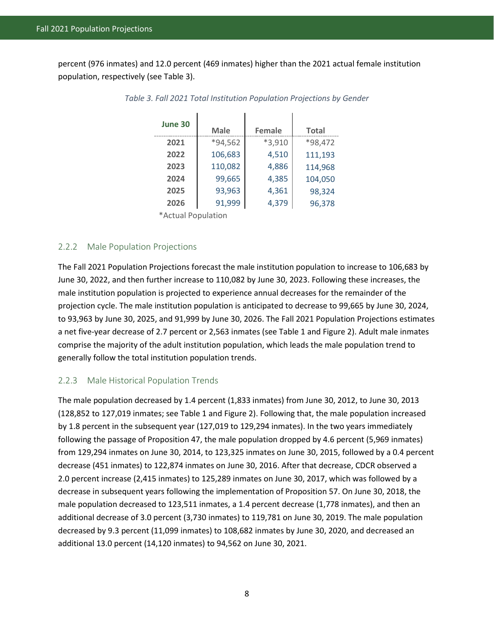<span id="page-16-2"></span>percent (976 inmates) and 12.0 percent (469 inmates) higher than the 2021 actual female institution population, respectively (see Table 3).

| June 30                      |             |               |              |  |
|------------------------------|-------------|---------------|--------------|--|
|                              | <b>Male</b> | <b>Female</b> | <b>Total</b> |  |
| 2021                         | *94,562     | $*3,910$      | *98,472      |  |
| 2022                         | 106,683     | 4,510         | 111,193      |  |
| 2023                         | 110,082     | 4,886         | 114,968      |  |
| 2024                         | 99,665      | 4,385         | 104,050      |  |
| 2025                         | 93,963      | 4,361         | 98,324       |  |
| 2026                         | 91,999      | 4,379         | 96,378       |  |
| منتقله المنمر المنبطة الأخلا |             |               |              |  |

*Table 3. Fall 2021 Total Institution Population Projections by Gender*

\*Actual Population

#### <span id="page-16-0"></span>2.2.2 Male Population Projections

The Fall 2021 Population Projections forecast the male institution population to increase to 106,683 by June 30, 2022, and then further increase to 110,082 by June 30, 2023. Following these increases, the male institution population is projected to experience annual decreases for the remainder of the projection cycle. The male institution population is anticipated to decrease to 99,665 by June 30, 2024, to 93,963 by June 30, 2025, and 91,999 by June 30, 2026. The Fall 2021 Population Projections estimates a net five-year decrease of 2.7 percent or 2,563 inmates (see Table 1 and Figure 2). Adult male inmates comprise the majority of the adult institution population, which leads the male population trend to generally follow the total institution population trends.

#### <span id="page-16-1"></span>2.2.3 Male Historical Population Trends

The male population decreased by 1.4 percent (1,833 inmates) from June 30, 2012, to June 30, 2013 (128,852 to 127,019 inmates; see Table 1 and Figure 2). Following that, the male population increased by 1.8 percent in the subsequent year (127,019 to 129,294 inmates). In the two years immediately following the passage of Proposition 47, the male population dropped by 4.6 percent (5,969 inmates) from 129,294 inmates on June 30, 2014, to 123,325 inmates on June 30, 2015, followed by a 0.4 percent decrease (451 inmates) to 122,874 inmates on June 30, 2016. After that decrease, CDCR observed a 2.0 percent increase (2,415 inmates) to 125,289 inmates on June 30, 2017, which was followed by a decrease in subsequent years following the implementation of Proposition 57. On June 30, 2018, the male population decreased to 123,511 inmates, a 1.4 percent decrease (1,778 inmates), and then an additional decrease of 3.0 percent (3,730 inmates) to 119,781 on June 30, 2019. The male population decreased by 9.3 percent (11,099 inmates) to 108,682 inmates by June 30, 2020, and decreased an additional 13.0 percent (14,120 inmates) to 94,562 on June 30, 2021.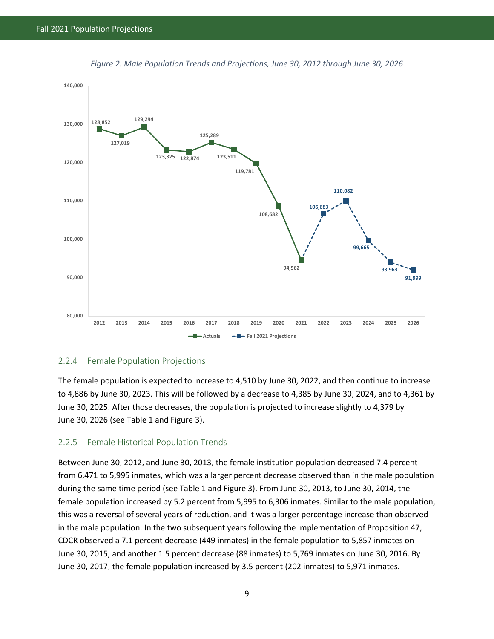<span id="page-17-2"></span>



#### <span id="page-17-0"></span>2.2.4 Female Population Projections

The female population is expected to increase to 4,510 by June 30, 2022, and then continue to increase to 4,886 by June 30, 2023. This will be followed by a decrease to 4,385 by June 30, 2024, and to 4,361 by June 30, 2025. After those decreases, the population is projected to increase slightly to 4,379 by June 30, 2026 (see Table 1 and Figure 3).

#### <span id="page-17-1"></span>2.2.5 Female Historical Population Trends

Between June 30, 2012, and June 30, 2013, the female institution population decreased 7.4 percent from 6,471 to 5,995 inmates, which was a larger percent decrease observed than in the male population during the same time period (see Table 1 and Figure 3). From June 30, 2013, to June 30, 2014, the female population increased by 5.2 percent from 5,995 to 6,306 inmates. Similar to the male population, this was a reversal of several years of reduction, and it was a larger percentage increase than observed in the male population. In the two subsequent years following the implementation of Proposition 47, CDCR observed a 7.1 percent decrease (449 inmates) in the female population to 5,857 inmates on June 30, 2015, and another 1.5 percent decrease (88 inmates) to 5,769 inmates on June 30, 2016. By June 30, 2017, the female population increased by 3.5 percent (202 inmates) to 5,971 inmates.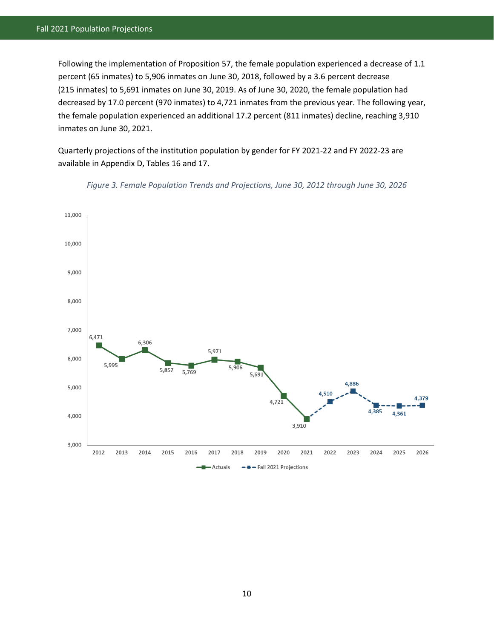Following the implementation of Proposition 57, the female population experienced a decrease of 1.1 percent (65 inmates) to 5,906 inmates on June 30, 2018, followed by a 3.6 percent decrease (215 inmates) to 5,691 inmates on June 30, 2019. As of June 30, 2020, the female population had decreased by 17.0 percent (970 inmates) to 4,721 inmates from the previous year. The following year, the female population experienced an additional 17.2 percent (811 inmates) decline, reaching 3,910 inmates on June 30, 2021.

Quarterly projections of the institution population by gender for FY 2021-22 and FY 2022-23 are available in Appendix D, Tables 16 and 17.

<span id="page-18-0"></span>

*Figure 3. Female Population Trends and Projections, June 30, 2012 through June 30, 2026*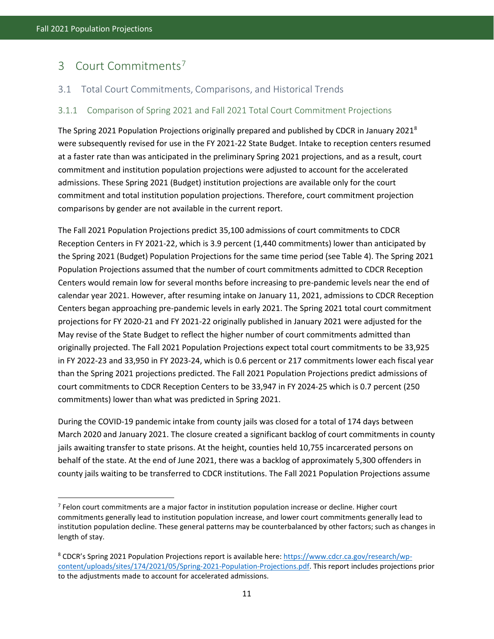l

# <span id="page-19-0"></span>3 Court Commitments[7](#page-19-3)

#### <span id="page-19-1"></span>3.1 Total Court Commitments, Comparisons, and Historical Trends

#### <span id="page-19-2"></span>3.1.1 Comparison of Spring 2021 and Fall 2021 Total Court Commitment Projections

The Spring 2021 Population Projections originally prepared and published by CDCR in January 2021<sup>[8](#page-19-4)</sup> were subsequently revised for use in the FY 2021-22 State Budget. Intake to reception centers resumed at a faster rate than was anticipated in the preliminary Spring 2021 projections, and as a result, court commitment and institution population projections were adjusted to account for the accelerated admissions. These Spring 2021 (Budget) institution projections are available only for the court commitment and total institution population projections. Therefore, court commitment projection comparisons by gender are not available in the current report.

The Fall 2021 Population Projections predict 35,100 admissions of court commitments to CDCR Reception Centers in FY 2021-22, which is 3.9 percent (1,440 commitments) lower than anticipated by the Spring 2021 (Budget) Population Projections for the same time period (see Table 4). The Spring 2021 Population Projections assumed that the number of court commitments admitted to CDCR Reception Centers would remain low for several months before increasing to pre-pandemic levels near the end of calendar year 2021. However, after resuming intake on January 11, 2021, admissions to CDCR Reception Centers began approaching pre-pandemic levels in early 2021. The Spring 2021 total court commitment projections for FY 2020-21 and FY 2021-22 originally published in January 2021 were adjusted for the May revise of the State Budget to reflect the higher number of court commitments admitted than originally projected. The Fall 2021 Population Projections expect total court commitments to be 33,925 in FY 2022-23 and 33,950 in FY 2023-24, which is 0.6 percent or 217 commitments lower each fiscal year than the Spring 2021 projections predicted. The Fall 2021 Population Projections predict admissions of court commitments to CDCR Reception Centers to be 33,947 in FY 2024-25 which is 0.7 percent (250 commitments) lower than what was predicted in Spring 2021.

During the COVID-19 pandemic intake from county jails was closed for a total of 174 days between March 2020 and January 2021. The closure created a significant backlog of court commitments in county jails awaiting transfer to state prisons. At the height, counties held 10,755 incarcerated persons on behalf of the state. At the end of June 2021, there was a backlog of approximately 5,300 offenders in county jails waiting to be transferred to CDCR institutions. The Fall 2021 Population Projections assume

<span id="page-19-3"></span><sup>7</sup> Felon court commitments are a major factor in institution population increase or decline. Higher court commitments generally lead to institution population increase, and lower court commitments generally lead to institution population decline. These general patterns may be counterbalanced by other factors; such as changes in length of stay.

<span id="page-19-4"></span><sup>&</sup>lt;sup>8</sup> CDCR's Spring 2021 Population Projections report is available here[: https://www.cdcr.ca.gov/research/wp](https://www.cdcr.ca.gov/research/wp-content/uploads/sites/174/2021/05/Spring-2021-Population-Projections.pdf)[content/uploads/sites/174/2021/05/Spring-2021-Population-Projections.pdf.](https://www.cdcr.ca.gov/research/wp-content/uploads/sites/174/2021/05/Spring-2021-Population-Projections.pdf) This report includes projections prior to the adjustments made to account for accelerated admissions.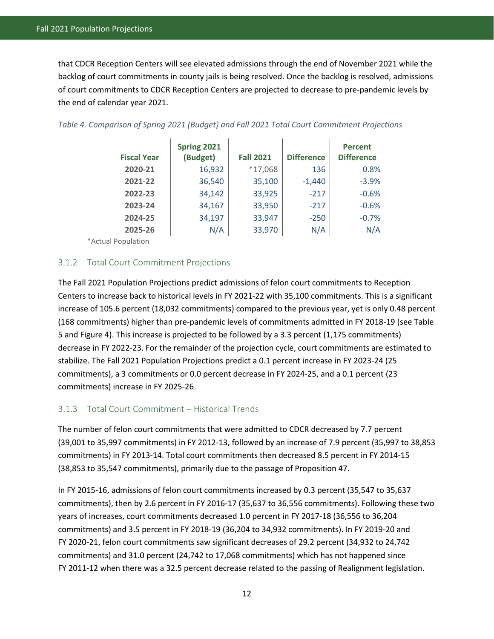that CDCR Reception Centers will see elevated admissions through the end of November 2021 while the backlog of court commitments in county jails is being resolved. Once the backlog is resolved, admissions of court commitments to CDCR Reception Centers are projected to decrease to pre-pandemic levels by the end of calendar year 2021.

| <b>Fiscal Year</b> | Spring 2021<br>(Budget) | <b>Fall 2021</b> | <b>Difference</b> | <b>Percent</b><br><b>Difference</b> |
|--------------------|-------------------------|------------------|-------------------|-------------------------------------|
| 2020-21            | 16,932                  | *17,068          | 136               | 0.8%                                |
| 2021-22            | 36,540                  | 35,100           | $-1,440$          | $-3.9%$                             |
| 2022-23            | 34,142                  | 33,925           | $-217$            | $-0.6%$                             |
| 2023-24            | 34,167                  | 33,950           | $-217$            | $-0.6%$                             |
| 2024-25            | 34,197                  | 33,947           | $-250$            | $-0.7%$                             |
| 2025-26            | N/A                     | 33,970           | N/A               | N/A                                 |

#### <span id="page-20-2"></span>*Table 4. Comparison of Spring 2021 (Budget) and Fall 2021 Total Court Commitment Projections*

\*Actual Population

#### <span id="page-20-0"></span>3.1.2 Total Court Commitment Projections

The Fall 2021 Population Projections predict admissions of felon court commitments to Reception Centers to increase back to historical levels in FY 2021-22 with 35,100 commitments. This is a significant increase of 105.6 percent (18,032 commitments) compared to the previous year, yet is only 0.48 percent (168 commitments) higher than pre-pandemic levels of commitments admitted in FY 2018-19 (see Table 5 and Figure 4). This increase is projected to be followed by a 3.3 percent (1,175 commitments) decrease in FY 2022-23. For the remainder of the projection cycle, court commitments are estimated to stabilize. The Fall 2021 Population Projections predict a 0.1 percent increase in FY 2023-24 (25 commitments), a 3 commitments or 0.0 percent decrease in FY 2024-25, and a 0.1 percent (23 commitments) increase in FY 2025-26.

#### <span id="page-20-1"></span>3.1.3 Total Court Commitment – Historical Trends

The number of felon court commitments that were admitted to CDCR decreased by 7.7 percent (39,001 to 35,997 commitments) in FY 2012-13, followed by an increase of 7.9 percent (35,997 to 38,853 commitments) in FY 2013-14. Total court commitments then decreased 8.5 percent in FY 2014-15 (38,853 to 35,547 commitments), primarily due to the passage of Proposition 47.

In FY 2015-16, admissions of felon court commitments increased by 0.3 percent (35,547 to 35,637 commitments), then by 2.6 percent in FY 2016-17 (35,637 to 36,556 commitments). Following these two years of increases, court commitments decreased 1.0 percent in FY 2017-18 (36,556 to 36,204 commitments) and 3.5 percent in FY 2018-19 (36,204 to 34,932 commitments). In FY 2019-20 and FY 2020-21, felon court commitments saw significant decreases of 29.2 percent (34,932 to 24,742 commitments) and 31.0 percent (24,742 to 17,068 commitments) which has not happened since FY 2011-12 when there was a 32.5 percent decrease related to the passing of Realignment legislation.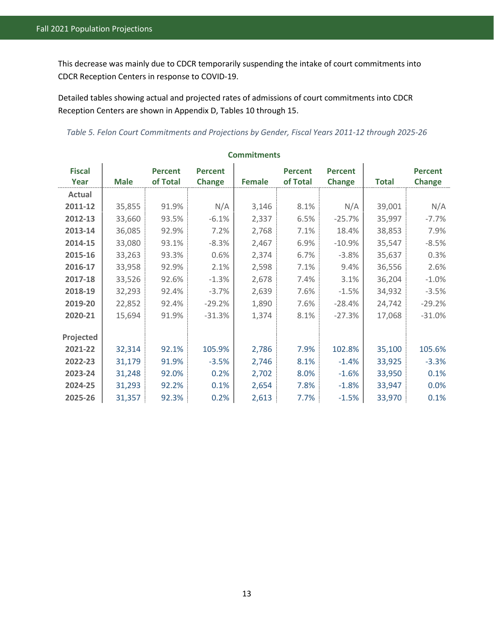This decrease was mainly due to CDCR temporarily suspending the intake of court commitments into CDCR Reception Centers in response to COVID-19.

Detailed tables showing actual and projected rates of admissions of court commitments into CDCR Reception Centers are shown in Appendix D, Tables 10 through 15.

<span id="page-21-0"></span>*Table 5. Felon Court Commitments and Projections by Gender, Fiscal Years 2011-12 through 2025-26* 

| <b>Fiscal</b> |             | <b>Percent</b> | <b>Percent</b> |        | <b>Percent</b> | <b>Percent</b> |              | <b>Percent</b> |
|---------------|-------------|----------------|----------------|--------|----------------|----------------|--------------|----------------|
| Year          | <b>Male</b> | of Total       | <b>Change</b>  | Female | of Total       | <b>Change</b>  | <b>Total</b> | <b>Change</b>  |
| Actual        |             |                |                |        |                |                |              |                |
| 2011-12       | 35,855      | 91.9%          | N/A            | 3,146  | 8.1%           | N/A            | 39,001       | N/A            |
| 2012-13       | 33,660      | 93.5%          | $-6.1%$        | 2,337  | 6.5%           | $-25.7%$       | 35,997       | $-7.7%$        |
| 2013-14       | 36,085      | 92.9%          | 7.2%           | 2,768  | 7.1%           | 18.4%          | 38,853       | 7.9%           |
| 2014-15       | 33,080      | 93.1%          | $-8.3%$        | 2,467  | 6.9%           | $-10.9%$       | 35,547       | $-8.5%$        |
| 2015-16       | 33,263      | 93.3%          | 0.6%           | 2,374  | 6.7%           | $-3.8%$        | 35,637       | 0.3%           |
| 2016-17       | 33,958      | 92.9%          | 2.1%           | 2,598  | 7.1%           | 9.4%           | 36,556       | 2.6%           |
| 2017-18       | 33,526      | 92.6%          | $-1.3%$        | 2,678  | 7.4%           | 3.1%           | 36,204       | $-1.0%$        |
| 2018-19       | 32,293      | 92.4%          | $-3.7%$        | 2,639  | 7.6%           | $-1.5%$        | 34,932       | $-3.5%$        |
| 2019-20       | 22,852      | 92.4%          | $-29.2%$       | 1,890  | 7.6%           | $-28.4%$       | 24,742       | $-29.2%$       |
| 2020-21       | 15,694      | 91.9%          | $-31.3%$       | 1,374  | 8.1%           | $-27.3%$       | 17,068       | $-31.0%$       |
|               |             |                |                |        |                |                |              |                |
| Projected     |             |                |                |        |                |                |              |                |
| 2021-22       | 32,314      | 92.1%          | 105.9%         | 2,786  | 7.9%           | 102.8%         | 35,100       | 105.6%         |
| 2022-23       | 31,179      | 91.9%          | $-3.5%$        | 2,746  | 8.1%           | $-1.4%$        | 33,925       | $-3.3%$        |
| 2023-24       | 31,248      | 92.0%          | 0.2%           | 2,702  | 8.0%           | $-1.6%$        | 33,950       | 0.1%           |
| 2024-25       | 31,293      | 92.2%          | 0.1%           | 2,654  | 7.8%           | $-1.8%$        | 33,947       | 0.0%           |
| 2025-26       | 31,357      | 92.3%          | 0.2%           | 2,613  | 7.7%           | $-1.5%$        | 33,970       | 0.1%           |

#### **Commitments**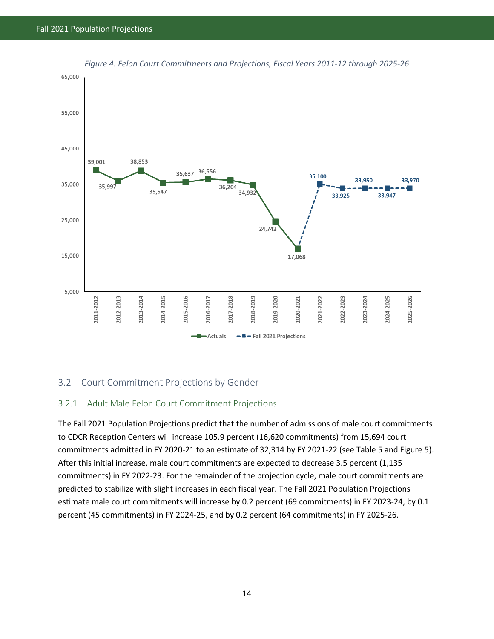<span id="page-22-2"></span>

*Figure 4. Felon Court Commitments and Projections, Fiscal Years 2011-12 through 2025-26* 

#### <span id="page-22-0"></span>3.2 Court Commitment Projections by Gender

#### <span id="page-22-1"></span>3.2.1 Adult Male Felon Court Commitment Projections

The Fall 2021 Population Projections predict that the number of admissions of male court commitments to CDCR Reception Centers will increase 105.9 percent (16,620 commitments) from 15,694 court commitments admitted in FY 2020-21 to an estimate of 32,314 by FY 2021-22 (see Table 5 and Figure 5). After this initial increase, male court commitments are expected to decrease 3.5 percent (1,135 commitments) in FY 2022-23. For the remainder of the projection cycle, male court commitments are predicted to stabilize with slight increases in each fiscal year. The Fall 2021 Population Projections estimate male court commitments will increase by 0.2 percent (69 commitments) in FY 2023-24, by 0.1 percent (45 commitments) in FY 2024-25, and by 0.2 percent (64 commitments) in FY 2025-26.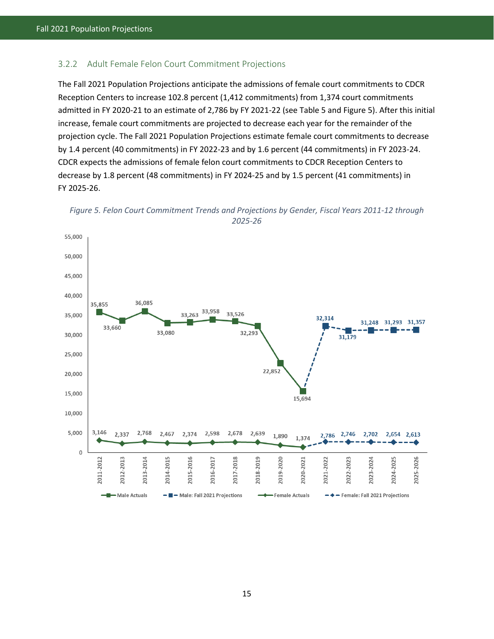#### <span id="page-23-0"></span>3.2.2 Adult Female Felon Court Commitment Projections

The Fall 2021 Population Projections anticipate the admissions of female court commitments to CDCR Reception Centers to increase 102.8 percent (1,412 commitments) from 1,374 court commitments admitted in FY 2020-21 to an estimate of 2,786 by FY 2021-22 (see Table 5 and Figure 5). After this initial increase, female court commitments are projected to decrease each year for the remainder of the projection cycle. The Fall 2021 Population Projections estimate female court commitments to decrease by 1.4 percent (40 commitments) in FY 2022-23 and by 1.6 percent (44 commitments) in FY 2023-24. CDCR expects the admissions of female felon court commitments to CDCR Reception Centers to decrease by 1.8 percent (48 commitments) in FY 2024-25 and by 1.5 percent (41 commitments) in FY 2025-26.

<span id="page-23-1"></span>

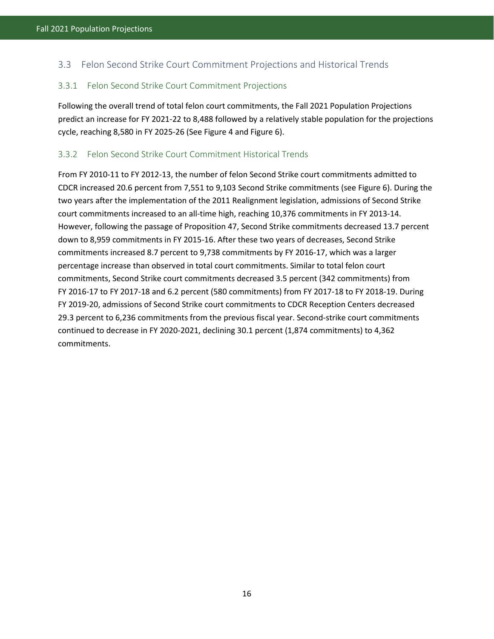## <span id="page-24-0"></span>3.3 Felon Second Strike Court Commitment Projections and Historical Trends

#### <span id="page-24-1"></span>3.3.1 Felon Second Strike Court Commitment Projections

Following the overall trend of total felon court commitments, the Fall 2021 Population Projections predict an increase for FY 2021-22 to 8,488 followed by a relatively stable population for the projections cycle, reaching 8,580 in FY 2025-26 (See Figure 4 and Figure 6).

#### <span id="page-24-2"></span>3.3.2 Felon Second Strike Court Commitment Historical Trends

From FY 2010-11 to FY 2012-13, the number of felon Second Strike court commitments admitted to CDCR increased 20.6 percent from 7,551 to 9,103 Second Strike commitments (see Figure 6). During the two years after the implementation of the 2011 Realignment legislation, admissions of Second Strike court commitments increased to an all-time high, reaching 10,376 commitments in FY 2013-14. However, following the passage of Proposition 47, Second Strike commitments decreased 13.7 percent down to 8,959 commitments in FY 2015-16. After these two years of decreases, Second Strike commitments increased 8.7 percent to 9,738 commitments by FY 2016-17, which was a larger percentage increase than observed in total court commitments. Similar to total felon court commitments, Second Strike court commitments decreased 3.5 percent (342 commitments) from FY 2016-17 to FY 2017-18 and 6.2 percent (580 commitments) from FY 2017-18 to FY 2018-19. During FY 2019-20, admissions of Second Strike court commitments to CDCR Reception Centers decreased 29.3 percent to 6,236 commitments from the previous fiscal year. Second-strike court commitments continued to decrease in FY 2020-2021, declining 30.1 percent (1,874 commitments) to 4,362 commitments.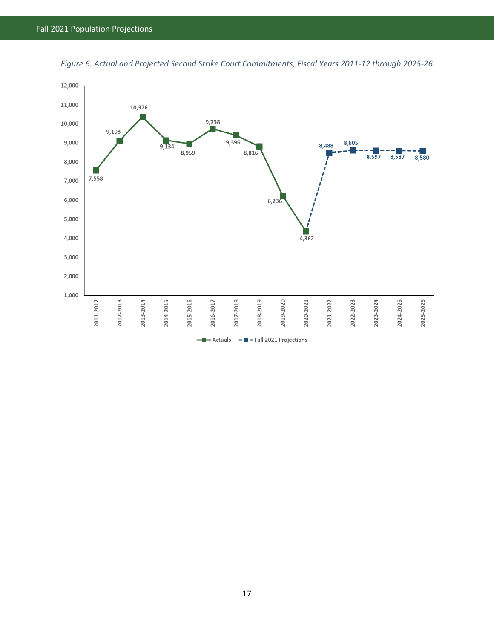

<span id="page-25-0"></span>*Figure 6. Actual and Projected Second Strike Court Commitments, Fiscal Years 2011-12 through 2025-26*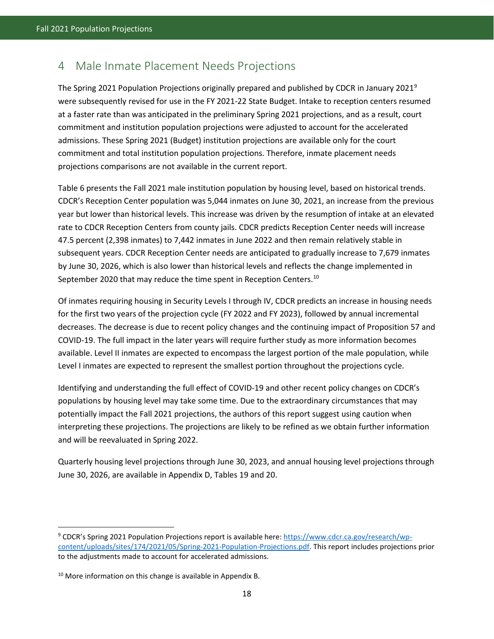## <span id="page-26-0"></span>4 Male Inmate Placement Needs Projections

The Spring 2021 Population Projections originally prepared and published by CDCR in January 2021[9](#page-26-2) were subsequently revised for use in the FY 2021-22 State Budget. Intake to reception centers resumed at a faster rate than was anticipated in the preliminary Spring 2021 projections, and as a result, court commitment and institution population projections were adjusted to account for the accelerated admissions. These Spring 2021 (Budget) institution projections are available only for the court commitment and total institution population projections. Therefore, inmate placement needs projections comparisons are not available in the current report.

Table 6 presents the Fall 2021 male institution population by housing level, based on historical trends. CDCR's Reception Center population was 5,044 inmates on June 30, 2021, an increase from the previous year but lower than historical levels. This increase was driven by the resumption of intake at an elevated rate to CDCR Reception Centers from county jails. CDCR predicts Reception Center needs will increase 47.5 percent (2,398 inmates) to 7,442 inmates in June 2022 and then remain relatively stable in subsequent years. CDCR Reception Center needs are anticipated to gradually increase to 7,679 inmates by June 30, 2026, which is also lower than historical levels and reflects the change implemented in September 2020 that may reduce the time spent in Reception Centers.<sup>[10](#page-26-3)</sup>

Of inmates requiring housing in Security Levels I through IV, CDCR predicts an increase in housing needs for the first two years of the projection cycle (FY 2022 and FY 2023), followed by annual incremental decreases. The decrease is due to recent policy changes and the continuing impact of Proposition 57 and COVID-19. The full impact in the later years will require further study as more information becomes available. Level II inmates are expected to encompass the largest portion of the male population, while Level I inmates are expected to represent the smallest portion throughout the projections cycle.

Identifying and understanding the full effect of COVID-19 and other recent policy changes on CDCR's populations by housing level may take some time. Due to the extraordinary circumstances that may potentially impact the Fall 2021 projections, the authors of this report suggest using caution when interpreting these projections. The projections are likely to be refined as we obtain further information and will be reevaluated in Spring 2022.

<span id="page-26-1"></span>Quarterly housing level projections through June 30, 2023, and annual housing level projections through June 30, 2026, are available in Appendix D, Tables 19 and 20.

 $\overline{a}$ 

<span id="page-26-2"></span><sup>&</sup>lt;sup>9</sup> CDCR's Spring 2021 Population Projections report is available here[: https://www.cdcr.ca.gov/research/wp](https://www.cdcr.ca.gov/research/wp-content/uploads/sites/174/2021/05/Spring-2021-Population-Projections.pdf)[content/uploads/sites/174/2021/05/Spring-2021-Population-Projections.pdf.](https://www.cdcr.ca.gov/research/wp-content/uploads/sites/174/2021/05/Spring-2021-Population-Projections.pdf) This report includes projections prior to the adjustments made to account for accelerated admissions.

<span id="page-26-3"></span> $10$  More information on this change is available in Appendix B.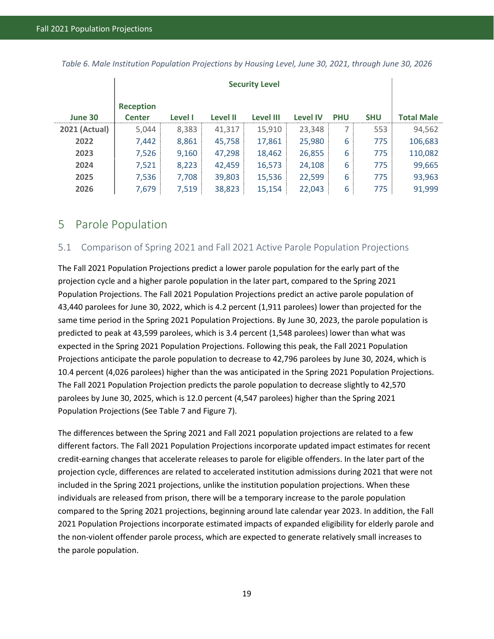|                      | <b>Security Level</b>             |                |                 |           |                 |            |            |                   |
|----------------------|-----------------------------------|----------------|-----------------|-----------|-----------------|------------|------------|-------------------|
| June 30              | <b>Reception</b><br><b>Center</b> | <b>Level I</b> | <b>Level II</b> | Level III | <b>Level IV</b> | <b>PHU</b> | <b>SHU</b> | <b>Total Male</b> |
| <b>2021 (Actual)</b> | 5,044                             | 8,383          | 41,317          | 15,910    | 23,348          | 7          | 553        | 94,562            |
| 2022                 | 7,442                             | 8,861          | 45,758          | 17,861    | 25,980          | 6          | 775        | 106,683           |
| 2023                 | 7,526                             | 9,160          | 47,298          | 18,462    | 26,855          | 6          | 775        | 110,082           |
| 2024                 | 7,521                             | 8,223          | 42,459          | 16,573    | 24,108          | 6          | 775        | 99,665            |
| 2025                 | 7,536                             | 7,708          | 39,803          | 15,536    | 22,599          | 6          | 775        | 93,963            |
| 2026                 | 7,679                             | 7,519          | 38,823          | 15,154    | 22,043          | 6          | 775        | 91,999            |

*Table 6. Male Institution Population Projections by Housing Level, June 30, 2021, through June 30, 2026* 

## <span id="page-27-0"></span>5 Parole Population

#### <span id="page-27-1"></span>5.1 Comparison of Spring 2021 and Fall 2021 Active Parole Population Projections

The Fall 2021 Population Projections predict a lower parole population for the early part of the projection cycle and a higher parole population in the later part, compared to the Spring 2021 Population Projections. The Fall 2021 Population Projections predict an active parole population of 43,440 parolees for June 30, 2022, which is 4.2 percent (1,911 parolees) lower than projected for the same time period in the Spring 2021 Population Projections. By June 30, 2023, the parole population is predicted to peak at 43,599 parolees, which is 3.4 percent (1,548 parolees) lower than what was expected in the Spring 2021 Population Projections. Following this peak, the Fall 2021 Population Projections anticipate the parole population to decrease to 42,796 parolees by June 30, 2024, which is 10.4 percent (4,026 parolees) higher than the was anticipated in the Spring 2021 Population Projections. The Fall 2021 Population Projection predicts the parole population to decrease slightly to 42,570 parolees by June 30, 2025, which is 12.0 percent (4,547 parolees) higher than the Spring 2021 Population Projections (See Table 7 and Figure 7).

<span id="page-27-2"></span>The differences between the Spring 2021 and Fall 2021 population projections are related to a few different factors. The Fall 2021 Population Projections incorporate updated impact estimates for recent credit-earning changes that accelerate releases to parole for eligible offenders. In the later part of the projection cycle, differences are related to accelerated institution admissions during 2021 that were not included in the Spring 2021 projections, unlike the institution population projections. When these individuals are released from prison, there will be a temporary increase to the parole population compared to the Spring 2021 projections, beginning around late calendar year 2023. In addition, the Fall 2021 Population Projections incorporate estimated impacts of expanded eligibility for elderly parole and the non-violent offender parole process, which are expected to generate relatively small increases to the parole population.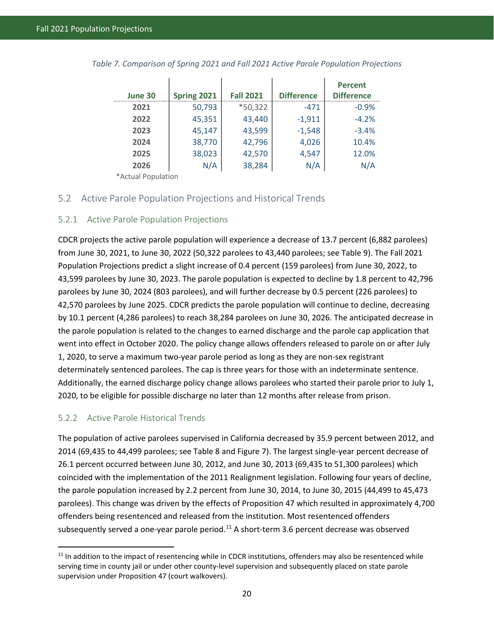| June 30 | Spring 2021 | <b>Fall 2021</b> | <b>Difference</b> | <b>Percent</b><br><b>Difference</b> |
|---------|-------------|------------------|-------------------|-------------------------------------|
| 2021    | 50,793      | *50,322          | $-471$            | $-0.9%$                             |
| 2022    | 45,351      | 43,440           | $-1,911$          | $-4.2%$                             |
| 2023    | 45,147      | 43,599           | $-1,548$          | $-3.4%$                             |
| 2024    | 38,770      | 42,796           | 4,026             | 10.4%                               |
| 2025    | 38,023      | 42,570           | 4,547             | 12.0%                               |
| 2026    | N/A         | 38,284           | N/A               | N/A                                 |

*Table 7. Comparison of Spring 2021 and Fall 2021 Active Parole Population Projections*

\*Actual Population

#### <span id="page-28-0"></span>5.2 Active Parole Population Projections and Historical Trends

#### <span id="page-28-1"></span>5.2.1 Active Parole Population Projections

CDCR projects the active parole population will experience a decrease of 13.7 percent (6,882 parolees) from June 30, 2021, to June 30, 2022 (50,322 parolees to 43,440 parolees; see Table 9). The Fall 2021 Population Projections predict a slight increase of 0.4 percent (159 parolees) from June 30, 2022, to 43,599 parolees by June 30, 2023. The parole population is expected to decline by 1.8 percent to 42,796 parolees by June 30, 2024 (803 parolees), and will further decrease by 0.5 percent (226 parolees) to 42,570 parolees by June 2025. CDCR predicts the parole population will continue to decline, decreasing by 10.1 percent (4,286 parolees) to reach 38,284 parolees on June 30, 2026. The anticipated decrease in the parole population is related to the changes to earned discharge and the parole cap application that went into effect in October 2020. The policy change allows offenders released to parole on or after July 1, 2020, to serve a maximum two-year parole period as long as they are non-sex registrant determinately sentenced parolees. The cap is three years for those with an indeterminate sentence. Additionally, the earned discharge policy change allows parolees who started their parole prior to July 1, 2020, to be eligible for possible discharge no later than 12 months after release from prison.

#### <span id="page-28-2"></span>5.2.2 Active Parole Historical Trends

l

The population of active parolees supervised in California decreased by 35.9 percent between 2012, and 2014 (69,435 to 44,499 parolees; see Table 8 and Figure 7). The largest single-year percent decrease of 26.1 percent occurred between June 30, 2012, and June 30, 2013 (69,435 to 51,300 parolees) which coincided with the implementation of the 2011 Realignment legislation. Following four years of decline, the parole population increased by 2.2 percent from June 30, 2014, to June 30, 2015 (44,499 to 45,473 parolees). This change was driven by the effects of Proposition 47 which resulted in approximately 4,700 offenders being resentenced and released from the institution. Most resentenced offenders subsequently served a one-year parole period.<sup>[11](#page-28-3)</sup> A short-term 3.6 percent decrease was observed

<span id="page-28-3"></span> $11$  In addition to the impact of resentencing while in CDCR institutions, offenders may also be resentenced while serving time in county jail or under other county-level supervision and subsequently placed on state parole supervision under Proposition 47 (court walkovers).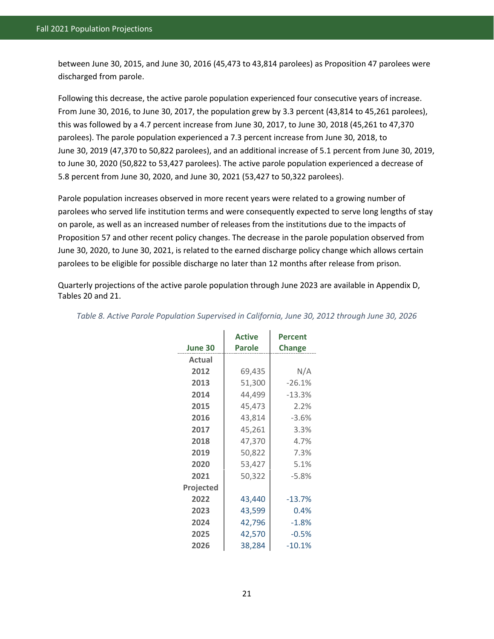between June 30, 2015, and June 30, 2016 (45,473 to 43,814 parolees) as Proposition 47 parolees were discharged from parole.

Following this decrease, the active parole population experienced four consecutive years of increase. From June 30, 2016, to June 30, 2017, the population grew by 3.3 percent (43,814 to 45,261 parolees), this was followed by a 4.7 percent increase from June 30, 2017, to June 30, 2018 (45,261 to 47,370 parolees). The parole population experienced a 7.3 percent increase from June 30, 2018, to June 30, 2019 (47,370 to 50,822 parolees), and an additional increase of 5.1 percent from June 30, 2019, to June 30, 2020 (50,822 to 53,427 parolees). The active parole population experienced a decrease of 5.8 percent from June 30, 2020, and June 30, 2021 (53,427 to 50,322 parolees).

Parole population increases observed in more recent years were related to a growing number of parolees who served life institution terms and were consequently expected to serve long lengths of stay on parole, as well as an increased number of releases from the institutions due to the impacts of Proposition 57 and other recent policy changes. The decrease in the parole population observed from June 30, 2020, to June 30, 2021, is related to the earned discharge policy change which allows certain parolees to be eligible for possible discharge no later than 12 months after release from prison.

Quarterly projections of the active parole population through June 2023 are available in Appendix D, Tables 20 and 21.

| June 30   | <b>Active</b><br><b>Parole</b> | <b>Percent</b><br><b>Change</b> |  |
|-----------|--------------------------------|---------------------------------|--|
| Actual    |                                |                                 |  |
| 2012      | 69,435                         | N/A                             |  |
| 2013      | 51,300                         | $-26.1%$                        |  |
| 2014      | 44,499                         | $-13.3%$                        |  |
| 2015      | 45,473                         | 2.2%                            |  |
| 2016      | 43,814                         | $-3.6%$                         |  |
| 2017      | 45,261                         | 3.3%                            |  |
| 2018      | 47,370                         | 4.7%                            |  |
| 2019      | 50,822                         | 7.3%                            |  |
| 2020      | 53,427                         | 5.1%                            |  |
| 2021      | 50,322                         | $-5.8%$                         |  |
| Projected |                                |                                 |  |
| 2022      | 43,440                         | $-13.7%$                        |  |
| 2023      | 43,599                         | 0.4%                            |  |
| 2024      | 42,796                         | $-1.8%$                         |  |
| 2025      | 42,570                         | $-0.5%$                         |  |
| 2026      | 38,284                         | $-10.1%$                        |  |

<span id="page-29-0"></span>*Table 8. Active Parole Population Supervised in California, June 30, 2012 through June 30, 2026*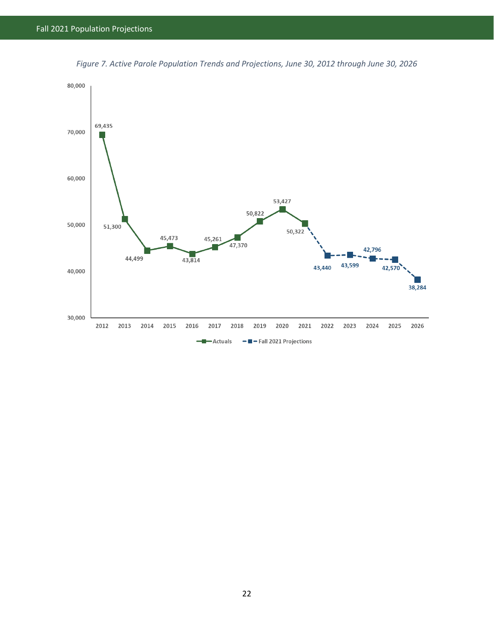<span id="page-30-0"></span>

*Figure 7. Active Parole Population Trends and Projections, June 30, 2012 through June 30, 2026*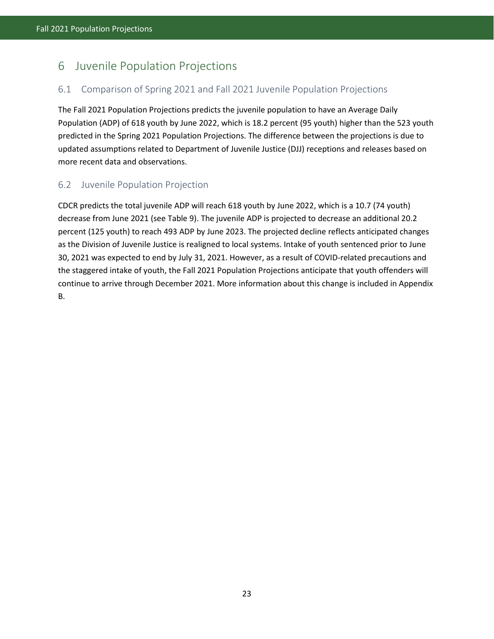# <span id="page-31-0"></span>6 Juvenile Population Projections

## <span id="page-31-1"></span>6.1 Comparison of Spring 2021 and Fall 2021 Juvenile Population Projections

The Fall 2021 Population Projections predicts the juvenile population to have an Average Daily Population (ADP) of 618 youth by June 2022, which is 18.2 percent (95 youth) higher than the 523 youth predicted in the Spring 2021 Population Projections. The difference between the projections is due to updated assumptions related to Department of Juvenile Justice (DJJ) receptions and releases based on more recent data and observations.

## <span id="page-31-2"></span>6.2 Juvenile Population Projection

CDCR predicts the total juvenile ADP will reach 618 youth by June 2022, which is a 10.7 (74 youth) decrease from June 2021 (see Table 9). The juvenile ADP is projected to decrease an additional 20.2 percent (125 youth) to reach 493 ADP by June 2023. The projected decline reflects anticipated changes as the Division of Juvenile Justice is realigned to local systems. Intake of youth sentenced prior to June 30, 2021 was expected to end by July 31, 2021. However, as a result of COVID-related precautions and the staggered intake of youth, the Fall 2021 Population Projections anticipate that youth offenders will continue to arrive through December 2021. More information about this change is included in Appendix B.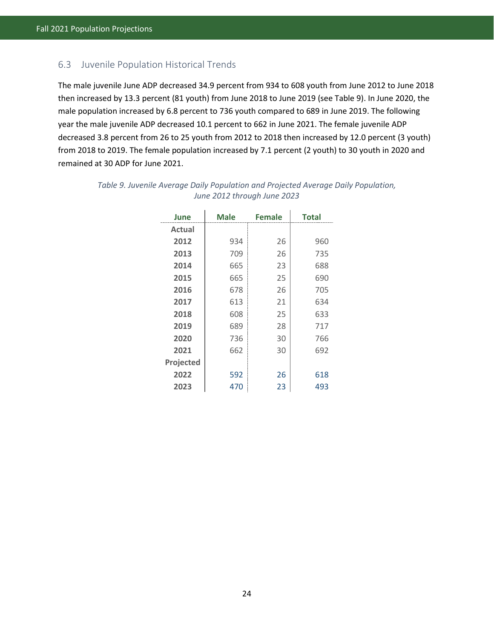### <span id="page-32-0"></span>6.3 Juvenile Population Historical Trends

The male juvenile June ADP decreased 34.9 percent from 934 to 608 youth from June 2012 to June 2018 then increased by 13.3 percent (81 youth) from June 2018 to June 2019 (see Table 9). In June 2020, the male population increased by 6.8 percent to 736 youth compared to 689 in June 2019. The following year the male juvenile ADP decreased 10.1 percent to 662 in June 2021. The female juvenile ADP decreased 3.8 percent from 26 to 25 youth from 2012 to 2018 then increased by 12.0 percent (3 youth) from 2018 to 2019. The female population increased by 7.1 percent (2 youth) to 30 youth in 2020 and remained at 30 ADP for June 2021.

| June             | <b>Male</b> | <b>Female</b> | <b>Total</b> |
|------------------|-------------|---------------|--------------|
| Actual           |             |               |              |
| 2012             | 934         | 26            | 960          |
| 2013             | 709         | 26            | 735          |
| 2014             | 665         | 23            | 688          |
| 2015             | 665         | 25            | 690          |
| 2016             | 678         | 26            | 705          |
| 2017             | 613         | 21            | 634          |
| 2018             | 608         | 25            | 633          |
| 2019             | 689         | 28            | 717          |
| 2020             | 736         | 30            | 766          |
| 2021             | 662         | 30            | 692          |
| <b>Projected</b> |             |               |              |
| 2022             | 592         | 26            | 618          |
| 2023             | 470         | 23            | 493          |

<span id="page-32-1"></span>

| Table 9. Juvenile Average Daily Population and Projected Average Daily Population, |                             |  |  |
|------------------------------------------------------------------------------------|-----------------------------|--|--|
|                                                                                    | June 2012 through June 2023 |  |  |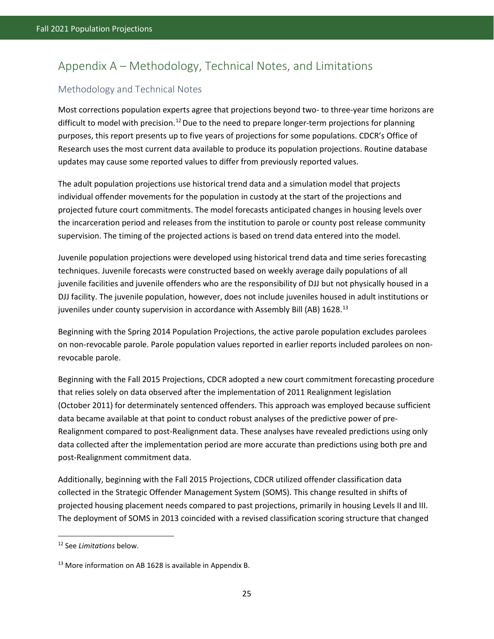# <span id="page-33-0"></span>Appendix A – Methodology, Technical Notes, and Limitations

## <span id="page-33-1"></span>Methodology and Technical Notes

Most corrections population experts agree that projections beyond two- to three-year time horizons are difficult to model with precision.<sup>[12](#page-33-2)</sup> Due to the need to prepare longer-term projections for planning purposes, this report presents up to five years of projections for some populations. CDCR's Office of Research uses the most current data available to produce its population projections. Routine database updates may cause some reported values to differ from previously reported values.

The adult population projections use historical trend data and a simulation model that projects individual offender movements for the population in custody at the start of the projections and projected future court commitments. The model forecasts anticipated changes in housing levels over the incarceration period and releases from the institution to parole or county post release community supervision. The timing of the projected actions is based on trend data entered into the model.

Juvenile population projections were developed using historical trend data and time series forecasting techniques. Juvenile forecasts were constructed based on weekly average daily populations of all juvenile facilities and juvenile offenders who are the responsibility of DJJ but not physically housed in a DJJ facility. The juvenile population, however, does not include juveniles housed in adult institutions or juveniles under county supervision in accordance with Assembly Bill (AB) 1628.<sup>[13](#page-33-3)</sup>

Beginning with the Spring 2014 Population Projections, the active parole population excludes parolees on non-revocable parole. Parole population values reported in earlier reports included parolees on nonrevocable parole.

Beginning with the Fall 2015 Projections, CDCR adopted a new court commitment forecasting procedure that relies solely on data observed after the implementation of 2011 Realignment legislation (October 2011) for determinately sentenced offenders. This approach was employed because sufficient data became available at that point to conduct robust analyses of the predictive power of pre-Realignment compared to post-Realignment data. These analyses have revealed predictions using only data collected after the implementation period are more accurate than predictions using both pre and post-Realignment commitment data.

Additionally, beginning with the Fall 2015 Projections, CDCR utilized offender classification data collected in the Strategic Offender Management System (SOMS). This change resulted in shifts of projected housing placement needs compared to past projections, primarily in housing Levels II and III. The deployment of SOMS in 2013 coincided with a revised classification scoring structure that changed

l

<span id="page-33-2"></span><sup>12</sup> See *Limitations* below.

<span id="page-33-3"></span><sup>&</sup>lt;sup>13</sup> More information on AB 1628 is available in Appendix B.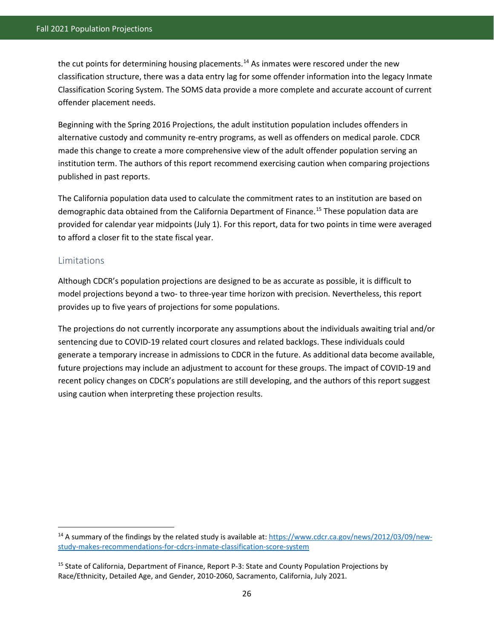the cut points for determining housing placements.<sup>[14](#page-34-1)</sup> As inmates were rescored under the new classification structure, there was a data entry lag for some offender information into the legacy Inmate Classification Scoring System. The SOMS data provide a more complete and accurate account of current offender placement needs.

Beginning with the Spring 2016 Projections, the adult institution population includes offenders in alternative custody and community re-entry programs, as well as offenders on medical parole. CDCR made this change to create a more comprehensive view of the adult offender population serving an institution term. The authors of this report recommend exercising caution when comparing projections published in past reports.

The California population data used to calculate the commitment rates to an institution are based on demographic data obtained from the California Department of Finance.<sup>[15](#page-34-2)</sup> These population data are provided for calendar year midpoints (July 1). For this report, data for two points in time were averaged to afford a closer fit to the state fiscal year.

#### <span id="page-34-0"></span>Limitations

 $\overline{a}$ 

Although CDCR's population projections are designed to be as accurate as possible, it is difficult to model projections beyond a two- to three-year time horizon with precision. Nevertheless, this report provides up to five years of projections for some populations.

The projections do not currently incorporate any assumptions about the individuals awaiting trial and/or sentencing due to COVID-19 related court closures and related backlogs. These individuals could generate a temporary increase in admissions to CDCR in the future. As additional data become available, future projections may include an adjustment to account for these groups. The impact of COVID-19 and recent policy changes on CDCR's populations are still developing, and the authors of this report suggest using caution when interpreting these projection results.

<span id="page-34-1"></span><sup>&</sup>lt;sup>14</sup> A summary of the findings by the related study is available at[: https://www.cdcr.ca.gov/news/2012/03/09/new](https://www.cdcr.ca.gov/news/2012/03/09/new-study-makes-recommendations-for-cdcrs-inmate-classification-score-system)[study-makes-recommendations-for-cdcrs-inmate-classification-score-system](https://www.cdcr.ca.gov/news/2012/03/09/new-study-makes-recommendations-for-cdcrs-inmate-classification-score-system)

<span id="page-34-2"></span><sup>15</sup> State of California, Department of Finance, Report P-3: State and County Population Projections by Race/Ethnicity, Detailed Age, and Gender, 2010-2060, Sacramento, California, July 2021.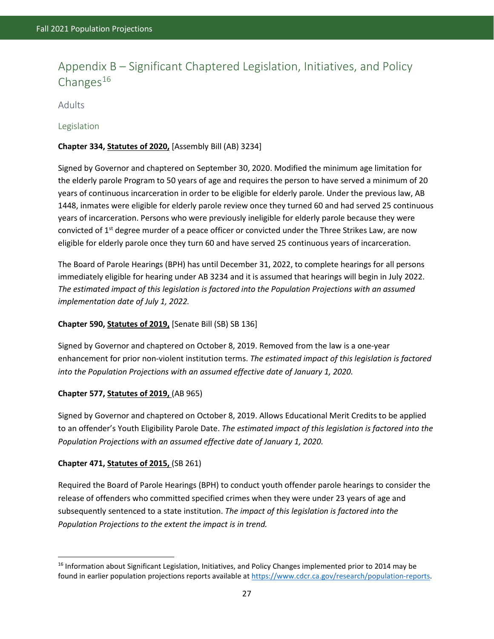# <span id="page-35-0"></span>Appendix B – Significant Chaptered Legislation, Initiatives, and Policy Changes $16$

#### <span id="page-35-1"></span>Adults

#### <span id="page-35-2"></span>Legislation

#### **Chapter 334, Statutes of 2020,** [Assembly Bill (AB) 3234]

Signed by Governor and chaptered on September 30, 2020. Modified the minimum age limitation for the elderly parole Program to 50 years of age and requires the person to have served a minimum of 20 years of continuous incarceration in order to be eligible for elderly parole. Under the previous law, AB 1448, inmates were eligible for elderly parole review once they turned 60 and had served 25 continuous years of incarceration. Persons who were previously ineligible for elderly parole because they were convicted of 1<sup>st</sup> degree murder of a peace officer or convicted under the Three Strikes Law, are now eligible for elderly parole once they turn 60 and have served 25 continuous years of incarceration.

The Board of Parole Hearings (BPH) has until December 31, 2022, to complete hearings for all persons immediately eligible for hearing under AB 3234 and it is assumed that hearings will begin in July 2022. *The estimated impact of this legislation is factored into the Population Projections with an assumed implementation date of July 1, 2022.*

#### **Chapter 590, Statutes of 2019,** [Senate Bill (SB) SB 136]

Signed by Governor and chaptered on October 8, 2019. Removed from the law is a one-year enhancement for prior non-violent institution terms. *The estimated impact of this legislation is factored into the Population Projections with an assumed effective date of January 1, 2020.* 

#### **Chapter 577, Statutes of 2019,** (AB 965)

Signed by Governor and chaptered on October 8, 2019. Allows Educational Merit Credits to be applied to an offender's Youth Eligibility Parole Date. *The estimated impact of this legislation is factored into the Population Projections with an assumed effective date of January 1, 2020.*

#### **Chapter 471, Statutes of 2015,** (SB 261)

 $\overline{a}$ 

Required the Board of Parole Hearings (BPH) to conduct youth offender parole hearings to consider the release of offenders who committed specified crimes when they were under 23 years of age and subsequently sentenced to a state institution. *The impact of this legislation is factored into the Population Projections to the extent the impact is in trend.*

<span id="page-35-3"></span><sup>&</sup>lt;sup>16</sup> Information about Significant Legislation, Initiatives, and Policy Changes implemented prior to 2014 may be found in earlier population projections reports available at [https://www.cdcr.ca.gov/research/population-reports.](https://www.cdcr.ca.gov/research/population-reports)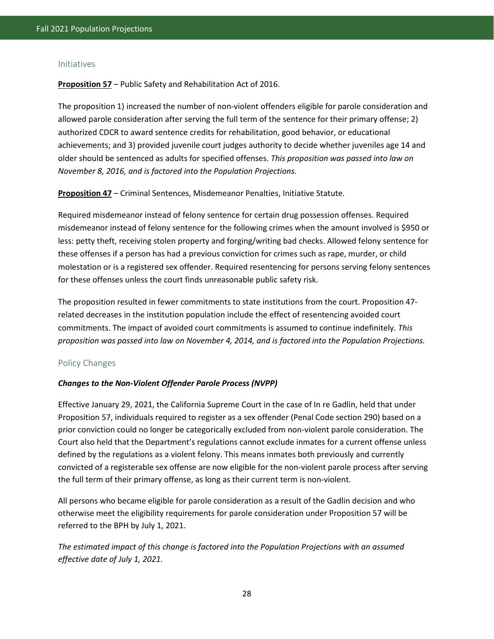#### <span id="page-36-0"></span>Initiatives

**Proposition 57** – Public Safety and Rehabilitation Act of 2016.

The proposition 1) increased the number of non-violent offenders eligible for parole consideration and allowed parole consideration after serving the full term of the sentence for their primary offense; 2) authorized CDCR to award sentence credits for rehabilitation, good behavior, or educational achievements; and 3) provided juvenile court judges authority to decide whether juveniles age 14 and older should be sentenced as adults for specified offenses. *This proposition was passed into law on November 8, 2016, and is factored into the Population Projections.*

**Proposition 47** – Criminal Sentences, Misdemeanor Penalties, Initiative Statute.

Required misdemeanor instead of felony sentence for certain drug possession offenses. Required misdemeanor instead of felony sentence for the following crimes when the amount involved is \$950 or less: petty theft, receiving stolen property and forging/writing bad checks. Allowed felony sentence for these offenses if a person has had a previous conviction for crimes such as rape, murder, or child molestation or is a registered sex offender. Required resentencing for persons serving felony sentences for these offenses unless the court finds unreasonable public safety risk.

The proposition resulted in fewer commitments to state institutions from the court. Proposition 47 related decreases in the institution population include the effect of resentencing avoided court commitments. The impact of avoided court commitments is assumed to continue indefinitely. *This proposition was passed into law on November 4, 2014, and is factored into the Population Projections.*

#### <span id="page-36-1"></span>Policy Changes

#### *Changes to the Non-Violent Offender Parole Process (NVPP)*

Effective January 29, 2021, the California Supreme Court in the case of In re Gadlin, held that under Proposition 57, individuals required to register as a sex offender (Penal Code section 290) based on a prior conviction could no longer be categorically excluded from non-violent parole consideration. The Court also held that the Department's regulations cannot exclude inmates for a current offense unless defined by the regulations as a violent felony. This means inmates both previously and currently convicted of a registerable sex offense are now eligible for the non-violent parole process after serving the full term of their primary offense, as long as their current term is non-violent.

All persons who became eligible for parole consideration as a result of the Gadlin decision and who otherwise meet the eligibility requirements for parole consideration under Proposition 57 will be referred to the BPH by July 1, 2021.

*The estimated impact of this change is factored into the Population Projections with an assumed effective date of July 1, 2021.*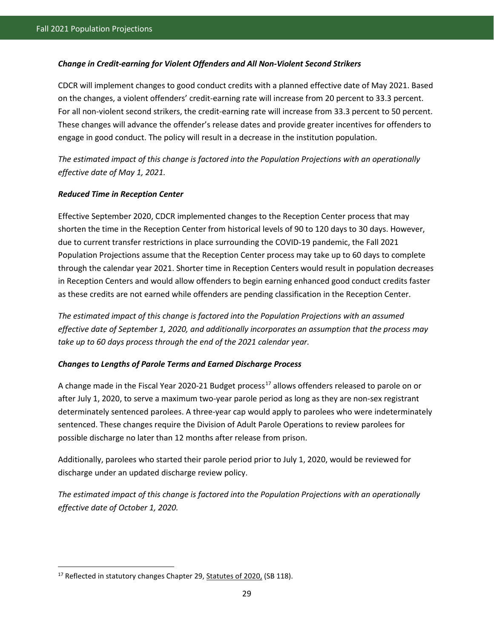#### *Change in Credit-earning for Violent Offenders and All Non-Violent Second Strikers*

CDCR will implement changes to good conduct credits with a planned effective date of May 2021. Based on the changes, a violent offenders' credit-earning rate will increase from 20 percent to 33.3 percent. For all non-violent second strikers, the credit-earning rate will increase from 33.3 percent to 50 percent. These changes will advance the offender's release dates and provide greater incentives for offenders to engage in good conduct. The policy will result in a decrease in the institution population.

*The estimated impact of this change is factored into the Population Projections with an operationally effective date of May 1, 2021.*

#### *Reduced Time in Reception Center*

Effective September 2020, CDCR implemented changes to the Reception Center process that may shorten the time in the Reception Center from historical levels of 90 to 120 days to 30 days. However, due to current transfer restrictions in place surrounding the COVID-19 pandemic, the Fall 2021 Population Projections assume that the Reception Center process may take up to 60 days to complete through the calendar year 2021. Shorter time in Reception Centers would result in population decreases in Reception Centers and would allow offenders to begin earning enhanced good conduct credits faster as these credits are not earned while offenders are pending classification in the Reception Center.

*The estimated impact of this change is factored into the Population Projections with an assumed effective date of September 1, 2020, and additionally incorporates an assumption that the process may take up to 60 days process through the end of the 2021 calendar year.*

#### *Changes to Lengths of Parole Terms and Earned Discharge Process*

A change made in the Fiscal Year 2020-21 Budget process<sup>[17](#page-37-0)</sup> allows offenders released to parole on or after July 1, 2020, to serve a maximum two-year parole period as long as they are non-sex registrant determinately sentenced parolees. A three-year cap would apply to parolees who were indeterminately sentenced. These changes require the Division of Adult Parole Operations to review parolees for possible discharge no later than 12 months after release from prison.

Additionally, parolees who started their parole period prior to July 1, 2020, would be reviewed for discharge under an updated discharge review policy.

*The estimated impact of this change is factored into the Population Projections with an operationally effective date of October 1, 2020.*

l

<span id="page-37-0"></span><sup>&</sup>lt;sup>17</sup> Reflected in statutory changes Chapter 29, Statutes of 2020, (SB 118).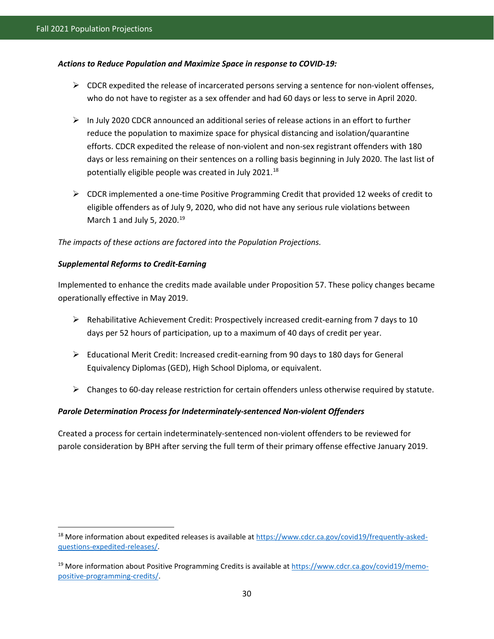#### *Actions to Reduce Population and Maximize Space in response to COVID-19:*

- $\triangleright$  CDCR expedited the release of incarcerated persons serving a sentence for non-violent offenses, who do not have to register as a sex offender and had 60 days or less to serve in April 2020.
- $\triangleright$  In July 2020 CDCR announced an additional series of release actions in an effort to further reduce the population to maximize space for physical distancing and isolation/quarantine efforts. CDCR expedited the release of non-violent and non-sex registrant offenders with 180 days or less remaining on their sentences on a rolling basis beginning in July 2020. The last list of potentially eligible people was created in July 2021.<sup>[18](#page-38-0)</sup>
- $\triangleright$  CDCR implemented a one-time Positive Programming Credit that provided 12 weeks of credit to eligible offenders as of July 9, 2020, who did not have any serious rule violations between March 1 and July 5, 2020. $19$

*The impacts of these actions are factored into the Population Projections.*

#### *Supplemental Reforms to Credit-Earning*

 $\overline{a}$ 

Implemented to enhance the credits made available under Proposition 57. These policy changes became operationally effective in May 2019.

- $\triangleright$  Rehabilitative Achievement Credit: Prospectively increased credit-earning from 7 days to 10 days per 52 hours of participation, up to a maximum of 40 days of credit per year.
- $\triangleright$  Educational Merit Credit: Increased credit-earning from 90 days to 180 days for General Equivalency Diplomas (GED), High School Diploma, or equivalent.
- $\triangleright$  Changes to 60-day release restriction for certain offenders unless otherwise required by statute.

#### *Parole Determination Process for Indeterminately-sentenced Non-violent Offenders*

Created a process for certain indeterminately-sentenced non-violent offenders to be reviewed for parole consideration by BPH after serving the full term of their primary offense effective January 2019.

<span id="page-38-0"></span><sup>&</sup>lt;sup>18</sup> More information about expedited releases is available at [https://www.cdcr.ca.gov/covid19/frequently-asked](https://www.cdcr.ca.gov/covid19/frequently-asked-questions-expedited-releases/)[questions-expedited-releases/.](https://www.cdcr.ca.gov/covid19/frequently-asked-questions-expedited-releases/) 

<span id="page-38-1"></span><sup>&</sup>lt;sup>19</sup> More information about Positive Programming Credits is available a[t https://www.cdcr.ca.gov/covid19/memo](https://www.cdcr.ca.gov/covid19/memo-positive-programming-credits/)[positive-programming-credits/.](https://www.cdcr.ca.gov/covid19/memo-positive-programming-credits/)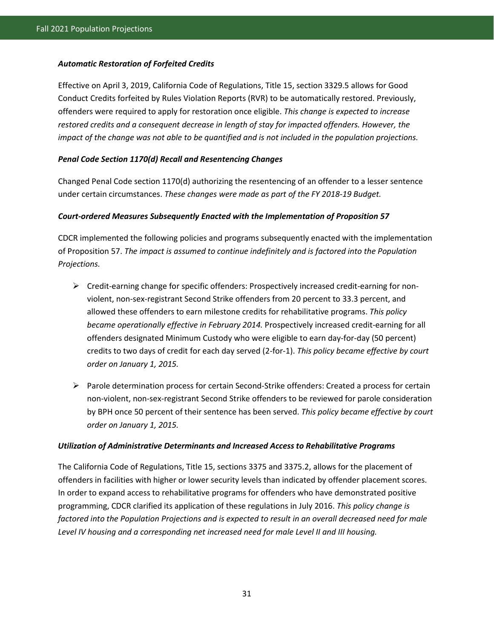#### *Automatic Restoration of Forfeited Credits*

Effective on April 3, 2019, California Code of Regulations, Title 15, section 3329.5 allows for Good Conduct Credits forfeited by Rules Violation Reports (RVR) to be automatically restored. Previously, offenders were required to apply for restoration once eligible. *This change is expected to increase restored credits and a consequent decrease in length of stay for impacted offenders. However, the impact of the change was not able to be quantified and is not included in the population projections.*

#### *Penal Code Section 1170(d) Recall and Resentencing Changes*

Changed Penal Code section 1170(d) authorizing the resentencing of an offender to a lesser sentence under certain circumstances. *These changes were made as part of the FY 2018-19 Budget.*

#### *Court-ordered Measures Subsequently Enacted with the Implementation of Proposition 57*

CDCR implemented the following policies and programs subsequently enacted with the implementation of Proposition 57. *The impact is assumed to continue indefinitely and is factored into the Population Projections.*

- $\triangleright$  Credit-earning change for specific offenders: Prospectively increased credit-earning for nonviolent, non-sex-registrant Second Strike offenders from 20 percent to 33.3 percent, and allowed these offenders to earn milestone credits for rehabilitative programs. *This policy became operationally effective in February 2014.* Prospectively increased credit-earning for all offenders designated Minimum Custody who were eligible to earn day-for-day (50 percent) credits to two days of credit for each day served (2-for-1). *This policy became effective by court order on January 1, 2015.*
- $\triangleright$  Parole determination process for certain Second-Strike offenders: Created a process for certain non-violent, non-sex-registrant Second Strike offenders to be reviewed for parole consideration by BPH once 50 percent of their sentence has been served. *This policy became effective by court order on January 1, 2015.*

#### *Utilization of Administrative Determinants and Increased Access to Rehabilitative Programs*

The California Code of Regulations, Title 15, sections 3375 and 3375.2, allows for the placement of offenders in facilities with higher or lower security levels than indicated by offender placement scores. In order to expand access to rehabilitative programs for offenders who have demonstrated positive programming, CDCR clarified its application of these regulations in July 2016. *This policy change is factored into the Population Projections and is expected to result in an overall decreased need for male Level IV housing and a corresponding net increased need for male Level II and III housing.*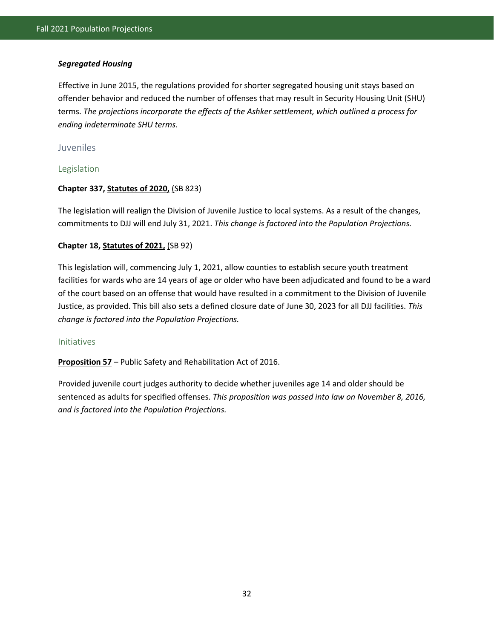#### *Segregated Housing*

Effective in June 2015, the regulations provided for shorter segregated housing unit stays based on offender behavior and reduced the number of offenses that may result in Security Housing Unit (SHU) terms. *The projections incorporate the effects of the Ashker settlement, which outlined a process for ending indeterminate SHU terms.*

#### <span id="page-40-0"></span>Juveniles

#### <span id="page-40-1"></span>Legislation

#### **Chapter 337, Statutes of 2020,** (SB 823)

The legislation will realign the Division of Juvenile Justice to local systems. As a result of the changes, commitments to DJJ will end July 31, 2021. *This change is factored into the Population Projections.*

#### **Chapter 18, Statutes of 2021,** (SB 92)

This legislation will, commencing July 1, 2021, allow counties to establish secure youth treatment facilities for wards who are 14 years of age or older who have been adjudicated and found to be a ward of the court based on an offense that would have resulted in a commitment to the Division of Juvenile Justice, as provided. This bill also sets a defined closure date of June 30, 2023 for all DJJ facilities. *This change is factored into the Population Projections.*

#### <span id="page-40-2"></span>Initiatives

**Proposition 57** – Public Safety and Rehabilitation Act of 2016.

Provided juvenile court judges authority to decide whether juveniles age 14 and older should be sentenced as adults for specified offenses. *This proposition was passed into law on November 8, 2016, and is factored into the Population Projections.*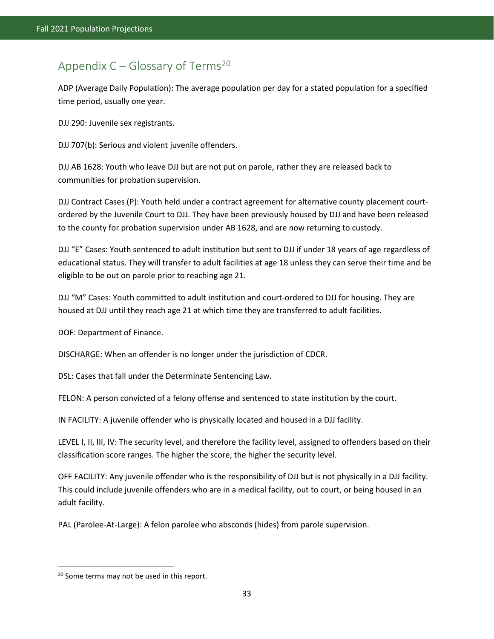# <span id="page-41-0"></span>Appendix  $C - G$  lossary of Terms<sup>[20](#page-41-1)</sup>

ADP (Average Daily Population): The average population per day for a stated population for a specified time period, usually one year.

DJJ 290: Juvenile sex registrants.

DJJ 707(b): Serious and violent juvenile offenders.

DJJ AB 1628: Youth who leave DJJ but are not put on parole, rather they are released back to communities for probation supervision.

DJJ Contract Cases (P): Youth held under a contract agreement for alternative county placement courtordered by the Juvenile Court to DJJ. They have been previously housed by DJJ and have been released to the county for probation supervision under AB 1628, and are now returning to custody.

DJJ "E" Cases: Youth sentenced to adult institution but sent to DJJ if under 18 years of age regardless of educational status. They will transfer to adult facilities at age 18 unless they can serve their time and be eligible to be out on parole prior to reaching age 21.

DJJ "M" Cases: Youth committed to adult institution and court-ordered to DJJ for housing. They are housed at DJJ until they reach age 21 at which time they are transferred to adult facilities.

DOF: Department of Finance.

DISCHARGE: When an offender is no longer under the jurisdiction of CDCR.

DSL: Cases that fall under the Determinate Sentencing Law.

FELON: A person convicted of a felony offense and sentenced to state institution by the court.

IN FACILITY: A juvenile offender who is physically located and housed in a DJJ facility.

LEVEL I, II, III, IV: The security level, and therefore the facility level, assigned to offenders based on their classification score ranges. The higher the score, the higher the security level.

OFF FACILITY: Any juvenile offender who is the responsibility of DJJ but is not physically in a DJJ facility. This could include juvenile offenders who are in a medical facility, out to court, or being housed in an adult facility.

PAL (Parolee-At-Large): A felon parolee who absconds (hides) from parole supervision.

l

<span id="page-41-1"></span><sup>&</sup>lt;sup>20</sup> Some terms may not be used in this report.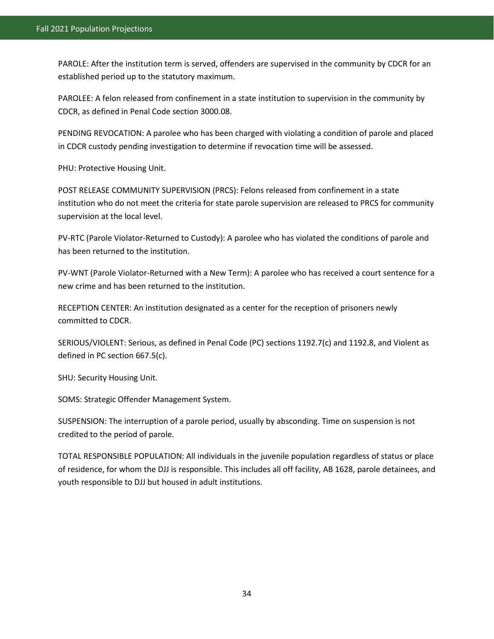PAROLE: After the institution term is served, offenders are supervised in the community by CDCR for an established period up to the statutory maximum.

PAROLEE: A felon released from confinement in a state institution to supervision in the community by CDCR, as defined in Penal Code section 3000.08.

PENDING REVOCATION: A parolee who has been charged with violating a condition of parole and placed in CDCR custody pending investigation to determine if revocation time will be assessed.

PHU: Protective Housing Unit.

POST RELEASE COMMUNITY SUPERVISION (PRCS): Felons released from confinement in a state institution who do not meet the criteria for state parole supervision are released to PRCS for community supervision at the local level.

PV-RTC (Parole Violator-Returned to Custody): A parolee who has violated the conditions of parole and has been returned to the institution.

PV-WNT (Parole Violator-Returned with a New Term): A parolee who has received a court sentence for a new crime and has been returned to the institution.

RECEPTION CENTER: An institution designated as a center for the reception of prisoners newly committed to CDCR.

SERIOUS/VIOLENT: Serious, as defined in Penal Code (PC) sections 1192.7(c) and 1192.8, and Violent as defined in PC section 667.5(c).

SHU: Security Housing Unit.

SOMS: Strategic Offender Management System.

SUSPENSION: The interruption of a parole period, usually by absconding. Time on suspension is not credited to the period of parole.

TOTAL RESPONSIBLE POPULATION: All individuals in the juvenile population regardless of status or place of residence, for whom the DJJ is responsible. This includes all off facility, AB 1628, parole detainees, and youth responsible to DJJ but housed in adult institutions.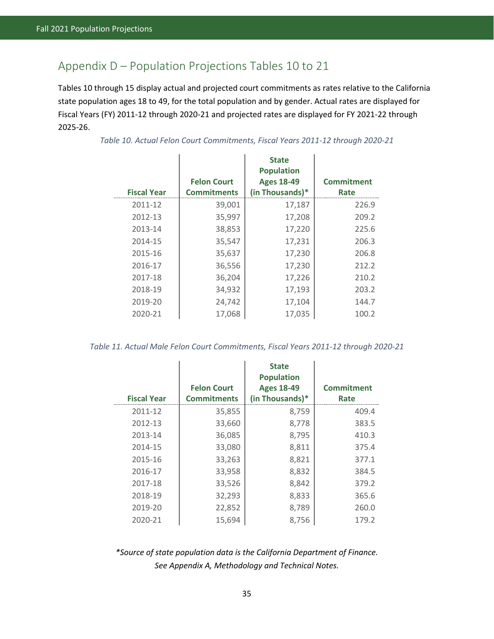# <span id="page-43-0"></span>Appendix D – Population Projections Tables 10 to 21

Tables 10 through 15 display actual and projected court commitments as rates relative to the California state population ages 18 to 49, for the total population and by gender. Actual rates are displayed for Fiscal Years (FY) 2011-12 through 2020-21 and projected rates are displayed for FY 2021-22 through 2025-26.

| <b>Fiscal Year</b> | <b>Felon Court</b><br><b>Commitments</b> | <b>State</b><br><b>Population</b><br><b>Ages 18-49</b><br>(in Thousands)* | <b>Commitment</b><br>Rate |
|--------------------|------------------------------------------|---------------------------------------------------------------------------|---------------------------|
| 2011-12            | 39,001                                   | 17,187                                                                    | 226.9                     |
| 2012-13            | 35,997                                   | 17,208                                                                    | 209.2                     |
| 2013-14            | 38,853                                   | 17,220                                                                    | 225.6                     |
| 2014-15            | 35,547                                   | 17,231                                                                    | 206.3                     |
| 2015-16            | 35,637                                   | 17,230                                                                    | 206.8                     |
| 2016-17            | 36,556                                   | 17,230                                                                    | 212.2                     |
| 2017-18            | 36,204                                   | 17,226                                                                    | 210.2                     |
| 2018-19            | 34,932                                   | 17,193                                                                    | 203.2                     |
| 2019-20            | 24,742                                   | 17,104                                                                    | 144.7                     |
| 2020-21            | 17,068                                   | 17,035                                                                    | 100.2                     |

<span id="page-43-1"></span>*Table 10. Actual Felon Court Commitments, Fiscal Years 2011-12 through 2020-21* 

<span id="page-43-2"></span>*Table 11. Actual Male Felon Court Commitments, Fiscal Years 2011-12 through 2020-21* 

| <b>Fiscal Year</b> | <b>Felon Court</b><br><b>Commitments</b> | <b>State</b><br><b>Population</b><br><b>Ages 18-49</b><br>(in Thousands)* | <b>Commitment</b><br>Rate |
|--------------------|------------------------------------------|---------------------------------------------------------------------------|---------------------------|
| 2011-12            | 35,855                                   | 8,759                                                                     | 409.4                     |
| 2012-13            | 33,660                                   | 8,778                                                                     | 383.5                     |
| 2013-14            | 36,085                                   | 8,795                                                                     | 410.3                     |
| 2014-15            | 33,080                                   | 8,811                                                                     | 375.4                     |
| 2015-16            | 33,263                                   | 8,821                                                                     | 377.1                     |
| 2016-17            | 33,958                                   | 8,832                                                                     | 384.5                     |
| 2017-18            | 33,526                                   | 8,842                                                                     | 379.2                     |
| 2018-19            | 32,293                                   | 8,833                                                                     | 365.6                     |
| 2019-20            | 22,852                                   | 8,789                                                                     | 260.0                     |
| 2020-21            | 15,694                                   | 8,756                                                                     | 179.2                     |

*\*Source of state population data is the California Department of Finance. See Appendix A, Methodology and Technical Notes.*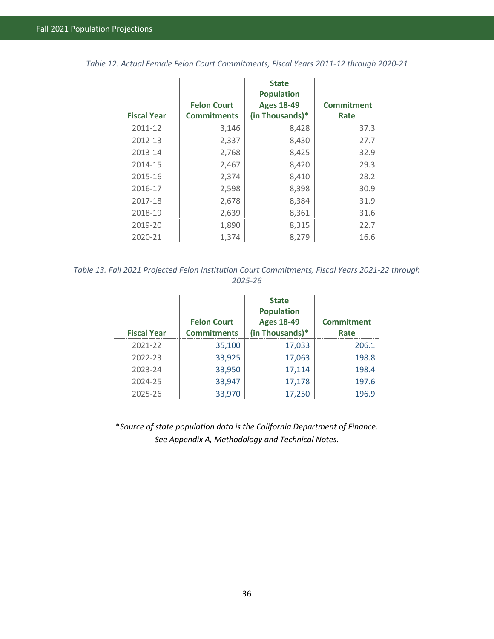<span id="page-44-0"></span>

|  |  |  | Table 12. Actual Female Felon Court Commitments, Fiscal Years 2011-12 through 2020-21 |
|--|--|--|---------------------------------------------------------------------------------------|
|  |  |  |                                                                                       |

|                    |                    | <b>State</b><br><b>Population</b> |                   |
|--------------------|--------------------|-----------------------------------|-------------------|
|                    | <b>Felon Court</b> | <b>Ages 18-49</b>                 | <b>Commitment</b> |
| <b>Fiscal Year</b> | <b>Commitments</b> | (in Thousands)*                   | Rate              |
| 2011-12            | 3,146              | 8,428                             | 37.3              |
| 2012-13            | 2,337              | 8,430                             | 27.7              |
| 2013-14            | 2,768              | 8,425                             | 32.9              |
| 2014-15            | 2,467              | 8,420                             | 29.3              |
| 2015-16            | 2,374              | 8,410                             | 28.2              |
| 2016-17            | 2,598              | 8,398                             | 30.9              |
| 2017-18            | 2,678              | 8,384                             | 31.9              |
| 2018-19            | 2,639              | 8,361                             | 31.6              |
| 2019-20            | 1,890              | 8,315                             | 22.7              |
| 2020-21            | 1,374              | 8,279                             | 16.6              |

<span id="page-44-1"></span>*Table 13. Fall 2021 Projected Felon Institution Court Commitments, Fiscal Years 2021-22 through 2025-26* 

| <b>Fiscal Year</b> | <b>Felon Court</b><br><b>Commitments</b> | <b>State</b><br><b>Population</b><br><b>Ages 18-49</b><br>(in Thousands)* | <b>Commitment</b><br>Rate |
|--------------------|------------------------------------------|---------------------------------------------------------------------------|---------------------------|
| 2021-22            | 35,100                                   | 17,033                                                                    | 206.1                     |
| 2022-23            | 33,925                                   | 17,063                                                                    | 198.8                     |
| 2023-24            | 33,950                                   | 17,114                                                                    | 198.4                     |
| 2024-25            | 33,947                                   | 17,178                                                                    | 197.6                     |
| 2025-26            | 33,970                                   | 17,250                                                                    | 196.9                     |

\**Source of state population data is the California Department of Finance. See Appendix A, Methodology and Technical Notes.*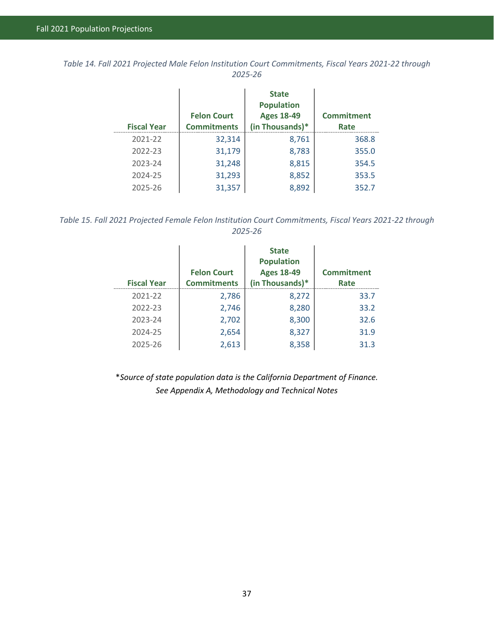<span id="page-45-0"></span>*Table 14. Fall 2021 Projected Male Felon Institution Court Commitments, Fiscal Years 2021-22 through 2025-26* 

| <b>Fiscal Year</b> | <b>Felon Court</b><br><b>Commitments</b> | <b>State</b><br><b>Population</b><br><b>Ages 18-49</b><br>(in Thousands)* | <b>Commitment</b><br>Rate |
|--------------------|------------------------------------------|---------------------------------------------------------------------------|---------------------------|
| 2021-22            | 32,314                                   | 8,761                                                                     | 368.8                     |
| 2022-23            | 31,179                                   | 8,783                                                                     | 355.0                     |
| 2023-24            | 31,248                                   | 8,815                                                                     | 354.5                     |
| 2024-25            | 31,293                                   | 8,852                                                                     | 353.5                     |
| 2025-26            | 31,357                                   | 8,892                                                                     | 352.7                     |

<span id="page-45-1"></span>*Table 15. Fall 2021 Projected Female Felon Institution Court Commitments, Fiscal Years 2021-22 through 2025-26* 

| <b>Fiscal Year</b> | <b>Felon Court</b><br><b>Commitments</b> | <b>State</b><br><b>Population</b><br><b>Ages 18-49</b><br>(in Thousands)* | <b>Commitment</b><br>Rate |
|--------------------|------------------------------------------|---------------------------------------------------------------------------|---------------------------|
| 2021-22            | 2,786                                    | 8,272                                                                     | 33.7                      |
| 2022-23            | 2,746                                    | 8,280                                                                     | 33.2                      |
| 2023-24            | 2,702                                    | 8,300                                                                     | 32.6                      |
| 2024-25            | 2,654                                    | 8,327                                                                     | 31.9                      |
| 2025-26            | 2,613                                    | 8,358                                                                     | 31.3                      |

\**Source of state population data is the California Department of Finance. See Appendix A, Methodology and Technical Notes*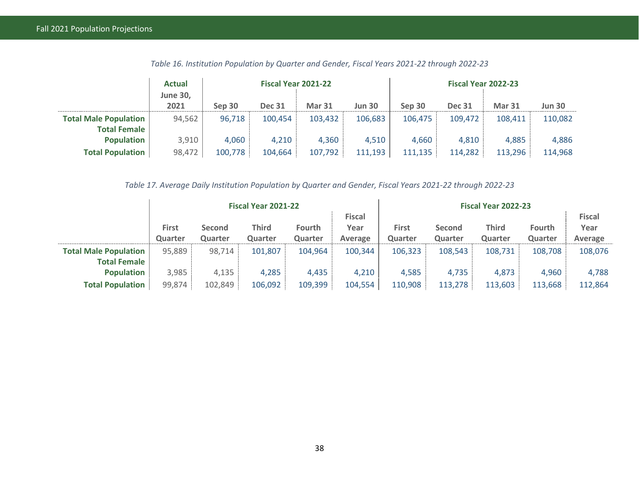|                              | <b>Actual</b>   |         | Fiscal Year 2021-22 |               |               |         |               | <b>Fiscal Year 2022-23</b> |               |  |
|------------------------------|-----------------|---------|---------------------|---------------|---------------|---------|---------------|----------------------------|---------------|--|
|                              | <b>June 30.</b> |         |                     |               |               |         |               |                            |               |  |
|                              | 2021            | Sep 30  | <b>Dec 31</b>       | <b>Mar 31</b> | <b>Jun 30</b> | Sep 30  | <b>Dec 31</b> | <b>Mar 31</b>              | <b>Jun 30</b> |  |
| <b>Total Male Population</b> | 94,562          | 96,718  | 100,454             | 103,432       | 106,683       | 106,475 | 109,472       | 108,411                    | 110,082       |  |
| <b>Total Female</b>          |                 |         |                     |               |               |         |               |                            |               |  |
| <b>Population</b>            | 3,910           | 4,060   | 4,210               | 4,360         | 4,510         | 4,660   | 4,810         | 4,885                      | 4,886         |  |
| <b>Total Population</b>      | 98,472          | 100,778 | 104,664             | 107,792       | 111,193       | 111,135 | 114,282       | 113,296                    | 114,968       |  |

*Table 16. Institution Population by Quarter and Gender, Fiscal Years 2021-22 through 2022-23* 

*Table 17. Average Daily Institution Population by Quarter and Gender, Fiscal Years 2021-22 through 2022-23* 

<span id="page-46-1"></span><span id="page-46-0"></span>

|                              | Fiscal Year 2021-22 |               |              |               |               | Fiscal Year 2022-23 |         |              |               |         |
|------------------------------|---------------------|---------------|--------------|---------------|---------------|---------------------|---------|--------------|---------------|---------|
|                              |                     |               |              |               | <b>Fiscal</b> |                     |         |              |               |         |
|                              | <b>First</b>        | <b>Second</b> | <b>Third</b> | <b>Fourth</b> | Year          | First               | Second  | <b>Third</b> | <b>Fourth</b> | Year    |
|                              | Quarter             | Quarter       | Quarter      | Quarter       | Average       | Quarter             | Quarter | Quarter      | Quarter       | Average |
| <b>Total Male Population</b> | 95,889              | 98,714        | 101,807      | 104,964       | 100,344       | 106,323             | 108,543 | 108,731      | 108,708       | 108,076 |
| <b>Total Female</b>          |                     |               |              |               |               |                     |         |              |               |         |
| <b>Population</b>            | 3,985               | 4,135         | 4,285        | 4,435         | 4,210         | 4,585               | 4,735   | 4,873        | 4,960         | 4,788   |
| <b>Total Population</b>      | 99,874              | 102,849       | 106,092      | 109,399       | 104,554       | 110,908             | 113,278 | 113,603      | 113,668       | 112,864 |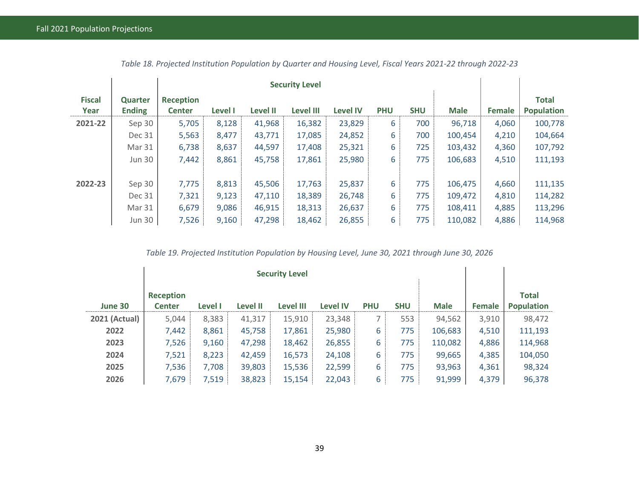|                       |                                 |                                   | <b>Security Level</b> |                 |                  |                 |            |            |             |        |                                   |
|-----------------------|---------------------------------|-----------------------------------|-----------------------|-----------------|------------------|-----------------|------------|------------|-------------|--------|-----------------------------------|
| <b>Fiscal</b><br>Year | <b>Quarter</b><br><b>Ending</b> | <b>Reception</b><br><b>Center</b> | Level I               | <b>Level II</b> | <b>Level III</b> | <b>Level IV</b> | <b>PHU</b> | <b>SHU</b> | <b>Male</b> | Female | <b>Total</b><br><b>Population</b> |
| 2021-22               | Sep 30                          | 5,705                             | 8,128                 | 41,968          | 16,382           | 23,829          | 6          | 700        | 96,718      | 4,060  | 100,778                           |
|                       | Dec 31                          | 5,563                             | 8,477                 | 43,771          | 17,085           | 24,852          | 6          | 700        | 100,454     | 4,210  | 104,664                           |
|                       | Mar 31                          | 6,738                             | 8,637                 | 44,597          | 17,408           | 25,321          | 6          | 725        | 103,432     | 4,360  | 107,792                           |
|                       | <b>Jun 30</b>                   | 7,442                             | 8,861                 | 45,758          | 17,861           | 25,980          | 6          | 775        | 106,683     | 4,510  | 111,193                           |
|                       |                                 |                                   |                       |                 |                  |                 |            |            |             |        |                                   |
| 2022-23               | Sep 30                          | 7,775                             | 8,813                 | 45,506          | 17,763           | 25,837          | 6          | 775        | 106,475     | 4,660  | 111,135                           |
|                       | Dec 31                          | 7,321                             | 9,123                 | 47,110          | 18,389           | 26,748          | 6          | 775        | 109,472     | 4,810  | 114,282                           |
|                       | Mar 31                          | 6,679                             | 9,086                 | 46,915          | 18,313           | 26,637          | 6          | 775        | 108,411     | 4,885  | 113,296                           |
|                       | <b>Jun 30</b>                   | 7,526                             | 9,160                 | 47,298          | 18,462           | 26,855          | 6          | 775        | 110,082     | 4,886  | 114,968                           |

*Table 18. Projected Institution Population by Quarter and Housing Level, Fiscal Years 2021-22 through 2022-23* 

*Table 19. Projected Institution Population by Housing Level, June 30, 2021 through June 30, 2026* 

<span id="page-47-1"></span><span id="page-47-0"></span>

|                      | <b>Security Level</b>             |         |                 |           |                 |            |            |             |        |                                   |
|----------------------|-----------------------------------|---------|-----------------|-----------|-----------------|------------|------------|-------------|--------|-----------------------------------|
| June 30              | <b>Reception</b><br><b>Center</b> | Level I | <b>Level II</b> | Level III | <b>Level IV</b> | <b>PHU</b> | <b>SHU</b> | <b>Male</b> | Female | <b>Total</b><br><b>Population</b> |
| <b>2021 (Actual)</b> | 5,044                             | 8,383   | 41,317          | 15,910    | 23,348          |            | 553        | 94,562      | 3,910  | 98,472                            |
| 2022                 | 7,442                             | 8,861   | 45,758          | 17,861    | 25,980          | 6          | 775        | 106,683     | 4,510  | 111,193                           |
| 2023                 | 7,526                             | 9,160   | 47,298          | 18,462    | 26,855          | 6          | 775        | 110,082     | 4,886  | 114,968                           |
| 2024                 | 7,521                             | 8,223   | 42,459          | 16,573    | 24,108          | 6          | 775        | 99,665      | 4,385  | 104,050                           |
| 2025                 | 7,536                             | 7,708   | 39,803          | 15,536    | 22,599          | 6          | 775        | 93,963      | 4,361  | 98,324                            |
| 2026                 | 7,679                             | 7,519   | 38,823          | 15,154    | 22,043          | 6          | 775        | 91,999      | 4,379  | 96,378                            |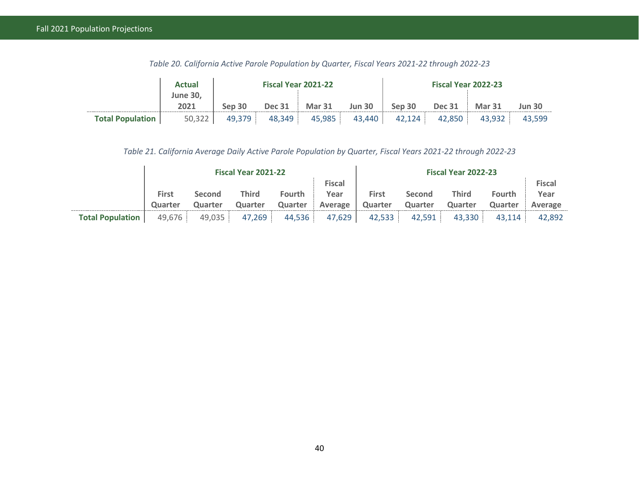|                         | <b>Actual</b>           |        | Fiscal Year 2021-22 |               |               | <b>Fiscal Year 2022-23</b> |               |               |               |  |
|-------------------------|-------------------------|--------|---------------------|---------------|---------------|----------------------------|---------------|---------------|---------------|--|
|                         | <b>June 30,</b><br>2021 | Sep 30 | <b>Dec 31</b>       | <b>Mar 31</b> | <b>Jun 30</b> | Sep 30                     | <b>Dec 31</b> | <b>Mar 31</b> | <b>Jun 30</b> |  |
| <b>Total Population</b> | 50,322                  | 49,379 | 48,349              | 45,985        | 43,440        | 42,124                     | 42,850        | 43,932        | 43.599        |  |

*Table 20. California Active Parole Population by Quarter, Fiscal Years 2021-22 through 2022-23* 

*Table 21. California Average Daily Active Parole Population by Quarter, Fiscal Years 2021-22 through 2022-23* 

<span id="page-48-1"></span><span id="page-48-0"></span>

|                         | Fiscal Year 2021-22 |               |         |               |               | Fiscal Year 2022-23 |               |         |               |               |  |
|-------------------------|---------------------|---------------|---------|---------------|---------------|---------------------|---------------|---------|---------------|---------------|--|
|                         |                     |               |         |               | <b>Fiscal</b> |                     |               |         |               | <b>Fiscal</b> |  |
|                         | First               | <b>Second</b> | Third   | <b>Fourth</b> | Year          | <b>First</b>        | <b>Second</b> | Third   | <b>Fourth</b> | Year          |  |
|                         | Quarter             | Quarter       | Quarter | Quarter       | Average       | Quarter             | Quarter       | Quarter | Quarter       | Average       |  |
| <b>Total Population</b> | 49,676              | 49,035        | 47,269  | 44,536        | 47,629        | 42,533              | 42.591        | 43,330  | 43.114        | 42.892        |  |